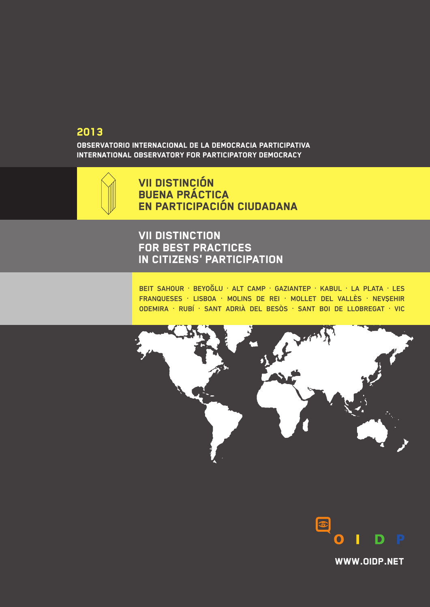### 2013

Observatorio internacional de la democracia participativa internaTional ObservatorY FOR participatORY democracY



VII DISTINCIÓN BUENA PRÁCTICA EN PARTICIPACIÓN CIUDADANA

### VII DISTINCTION FOR BEST PRACTICES IN CITIZENS' PARTICIPATION

BEIT SAHOUR · BEYOĞLU · ALT CAMP · GAZIANTEP · KABUL · LA PLATA · LES FRANQUESES · LISBOA · MOLINS DE REI · MOLLET DEL VALLÈS · NEVSEHIR ODEMIRA · RUBÍ · SANT ADRIÀ DEL BESÒS · SANT BOI DE LLOBREGAT · VIC





[WWW.OIDP.NET](http://www.oidp.net/)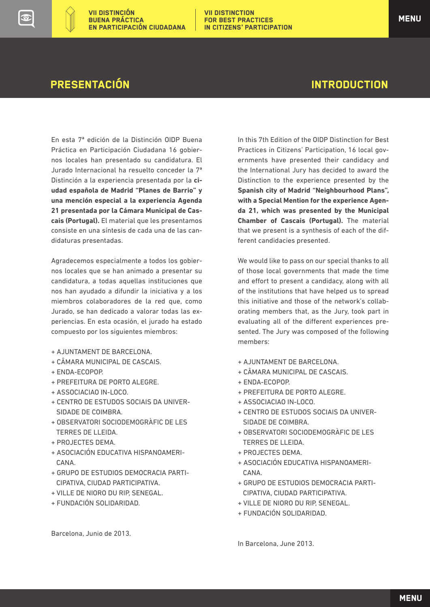En esta 7ª edición de la Distinción OIDP Buena Práctica en Participación Ciudadana 16 gobiernos locales han presentado su candidatura. El Jurado Internacional ha resuelto conceder la 7ª Distinción a la experiencia presentada por la **ciudad española de Madrid "Planes de Barrio" y una mención especial a la experiencia Agenda 21 presentada por la Cámara Municipal de Cascais (Portugal).** El material que les presentamos consiste en una síntesis de cada una de las candidaturas presentadas.

Agradecemos especialmente a todos los gobiernos locales que se han animado a presentar su candidatura, a todas aquellas instituciones que nos han ayudado a difundir la iniciativa y a los miembros colaboradores de la red que, como Jurado, se han dedicado a valorar todas las experiencias. En esta ocasión, el jurado ha estado compuesto por los siguientes miembros:

- + AJUNTAMENT DE BARCELONA.
- + CÂMARA MUNICIPAL DE CASCAIS.
- + ENDA-ECOPOP.
- + PREFEITURA DE PORTO ALEGRE.
- + ASSOCIACIAO IN-LOCO.
- + CENTRO DE ESTUDOS SOCIAIS DA UNIVER- SIDADE DE COIMBRA.
- + OBSERVATORI SOCIODEMOGRÀFIC DE LES TERRES DE LLEIDA.
- + PROJECTES DEMA.
- + ASOCIACIÓN EDUCATIVA HISPANOAMERI- CANA.
- + GRUPO DE ESTUDIOS DEMOCRACIA PARTI- CIPATIVA, CIUDAD PARTICIPATIVA.
- + VILLE DE NIORO DU RIP, SENEGAL.
- + FUNDACIÓN SOLIDARIDAD.

In this 7th Edition of the OIDP Distinction for Best Practices in Citizens' Participation, 16 local governments have presented their candidacy and the International Jury has decided to award the Distinction to the experience presented by the **Spanish city of Madrid "Neighbourhood Plans", with a Special Mention for the experience Agenda 21, which was presented by the Municipal Chamber of Cascais (Portugal).** The material that we present is a synthesis of each of the different candidacies presented.

We would like to pass on our special thanks to all of those local governments that made the time and effort to present a candidacy, along with all of the institutions that have helped us to spread this initiative and those of the network's collaborating members that, as the Jury, took part in evaluating all of the different experiences presented. The Jury was composed of the following members:

- + AJUNTAMENT DE BARCELONA.
- + CÂMARA MUNICIPAL DE CASCAIS.
- + ENDA-ECOPOP.
- + PREFEITURA DE PORTO ALEGRE.
- + ASSOCIACIAO IN-LOCO.
- + CENTRO DE ESTUDOS SOCIAIS DA UNIVER- SIDADE DE COIMBRA.
- + OBSERVATORI SOCIODEMOGRÀFIC DE LES TERRES DE LLEIDA.
- + PROJECTES DEMA.
- + ASOCIACIÓN EDUCATIVA HISPANOAMERI- CANA.
- + GRUPO DE ESTUDIOS DEMOCRACIA PARTI- CIPATIVA, CIUDAD PARTICIPATIVA.
- + VILLE DE NIORO DU RIP, SENEGAL.
- + FUNDACIÓN SOLIDARIDAD.

In Barcelona, June 2013.

Barcelona, Junio de 2013.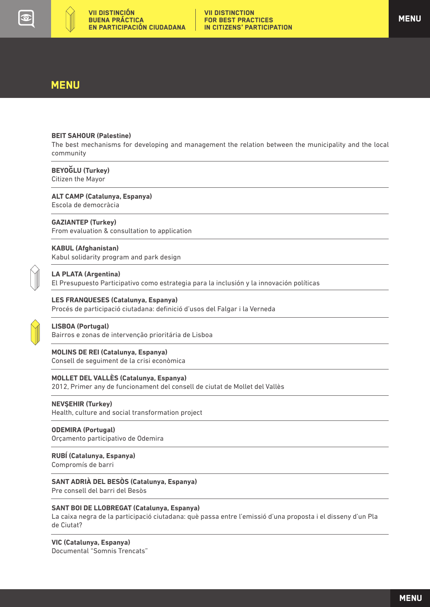<span id="page-2-0"></span>

### **MENU**

#### **BEIT SAHOUR (Palestine)**

[The best mechanisms for developing and management the relation between the municipality and the local](#page-3-0)  community

#### **[BEYOGLU \(Turkey\)](#page-6-0)**

Citizen the Mayor

### **[ALT CAMP \(Catalunya, Espanya\)](#page-7-0)**

Escola de democràcia

#### **GAZIANTEP (Turkey)**

[From evaluation & consultation to application](#page-9-0)

#### **KABUL (Afghanistan)**

[Kabul solidarity program and park design](#page-11-0)



### **LA PLATA (Argentina)**

[El Presupuesto Participativo como estrategia para la inclusión y la innovación políticas](#page-15-0)

#### **LES FRANQUESES (Catalunya, Espanya)**

[Procés de participació ciutadana: definició d'usos del Falgar i la Verneda](#page-17-0)



#### **LISBOA (Portugal)**

[Bairros e zonas de intervenção prioritária de Lisboa](#page-20-0)

#### **MOLINS DE REI (Catalunya, Espanya)**

[Consell de seguiment de la crisi econòmica](#page-23-0)

#### **MOLLET DEL VALLÈS (Catalunya, Espanya)**

[2012, Primer any de funcionament del consell de ciutat de Mollet del Vallès](#page-26-0)

#### **NEVSEHIR (Turkey)**

[Health, culture and social transformation project](#page-28-0)

#### **ODEMIRA (Portugal)**

[Orçamento participativo de Odemira](#page-30-0)

#### **[RUBÍ \(Catalunya, Espanya\)](#page-33-0)**

Compromís de barri

### **[SANT ADRIÀ DEL BESÒS \(Catalunya, Espanya\)](#page-35-0)**

Pre consell del barri del Besòs

#### **SANT BOI DE LLOBREGAT (Catalunya, Espanya)**

[La caixa negra de la participació ciutadana: què passa entre l'emissió d'una proposta i el disseny d'un Pla](#page-38-0) de Ciutat?

#### **VIC (Catalunya, Espanya)** [Documental "Somnis Trencats"](#page-42-0)

**MENU**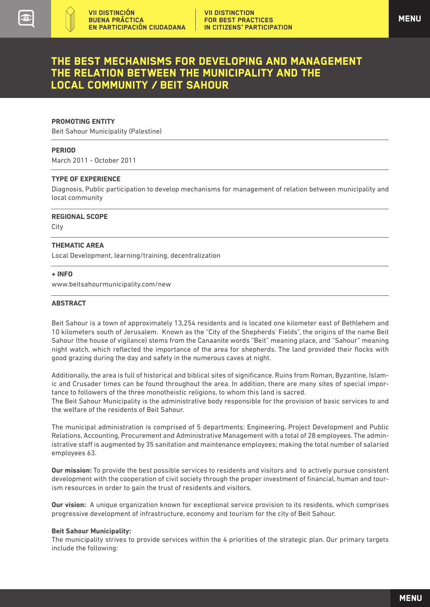### <span id="page-3-0"></span>The best mechanisms for developing and management the relation between the municipality and the local community / Beit Sahour

#### **PROMOTING ENTITY**

Beit Sahour Municipality (Palestine)

#### **PERIOD**

March 2011 - October 2011

#### **TYPE OF EXPERIENCE**

Diagnosis, Public participation to develop mechanisms for management of relation between municipality and local community

**REGIONAL SCOPE** 

City  $\overline{a}$ 

#### **THEMATIC AREA**

Local Development, learning/training, decentralization

#### **+ INFO**

<www.beitsahourmunicipality.com/new>

#### **ABSTRACT**

Beit Sahour is a town of approximately 13,254 residents and is located one kilometer east of Bethlehem and 10 kilometers south of Jerusalem. Known as the "City of the Shepherds' Fields", the origins of the name Beit Sahour (the house of vigilance) stems from the Canaanite words "Beit" meaning place, and "Sahour" meaning night watch, which reflected the importance of the area for shepherds. The land provided their flocks with good grazing during the day and safety in the numerous caves at night.

Additionally, the area is full of historical and biblical sites of significance. Ruins from Roman, Byzantine, Islamic and Crusader times can be found throughout the area. In addition, there are many sites of special importance to followers of the three monotheistic religions, to whom this land is sacred.

The Beit Sahour Municipality is the administrative body responsible for the provision of basic services to and the welfare of the residents of Beit Sahour.

The municipal administration is comprised of 5 departments: Engineering, Project Development and Public Relations, Accounting, Procurement and Administrative Management with a total of 28 employees. The administrative staff is augmented by 35 sanitation and maintenance employees; making the total number of salaried employees 63.

**Our mission:** To provide the best possible services to residents and visitors and to actively pursue consistent development with the cooperation of civil society through the proper investment of financial, human and tourism resources in order to gain the trust of residents and visitors.

**Our vision:**  A unique organization known for exceptional service provision to its residents, which comprises progressive development of infrastructure, economy and tourism for the city of Beit Sahour.

#### **Beit Sahour Municipality:**

The municipality strives to provide services within the 4 priorities of the strategic plan. Our primary targets include the following: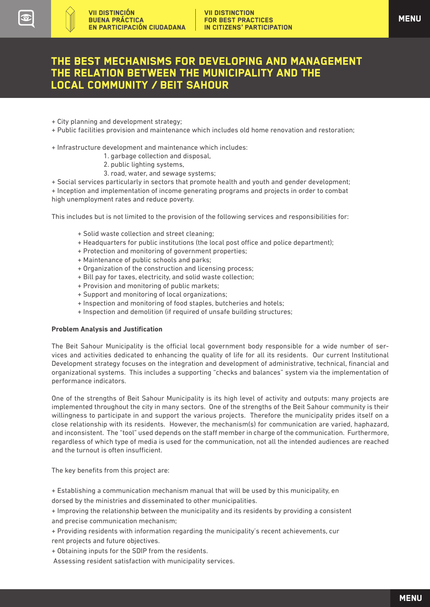### The best mechanisms for developing and management the relation between the municipality and the local community / Beit Sahour

+ City planning and development strategy;

VII DISTINCIÓN BUENA PRÁCTICA

EN PARTICIPACIÓN CIUDADANA

- + Public facilities provision and maintenance which includes old home renovation and restoration;
- + Infrastructure development and maintenance which includes:
	- 1. garbage collection and disposal,
	- 2. public lighting systems,
	- 3. road, water, and sewage systems;

+ Social services particularly in sectors that promote health and youth and gender development; + Inception and implementation of income generating programs and projects in order to combat high unemployment rates and reduce poverty.

This includes but is not limited to the provision of the following services and responsibilities for:

- + Solid waste collection and street cleaning;
- + Headquarters for public institutions (the local post office and police department);
- + Protection and monitoring of government properties;
- + Maintenance of public schools and parks;
- + Organization of the construction and licensing process;
- + Bill pay for taxes, electricity, and solid waste collection;
- + Provision and monitoring of public markets;
- + Support and monitoring of local organizations;
- + Inspection and monitoring of food staples, butcheries and hotels;
- + Inspection and demolition (if required of unsafe building structures;

#### **Problem Analysis and Justification**

The Beit Sahour Municipality is the official local government body responsible for a wide number of services and activities dedicated to enhancing the quality of life for all its residents. Our current Institutional Development strategy focuses on the integration and development of administrative, technical, financial and organizational systems. This includes a supporting "checks and balances" system via the implementation of performance indicators.

One of the strengths of Beit Sahour Municipality is its high level of activity and outputs: many projects are implemented throughout the city in many sectors. One of the strengths of the Beit Sahour community is their willingness to participate in and support the various projects. Therefore the municipality prides itself on a close relationship with its residents. However, the mechanism(s) for communication are varied, haphazard, and inconsistent. The "tool" used depends on the staff member in charge of the communication. Furthermore, regardless of which type of media is used for the communication, not all the intended audiences are reached and the turnout is often insufficient.

The key benefits from this project are:

+ Establishing a communication mechanism manual that will be used by this municipality, en

dorsed by the ministries and disseminated to other municipalities.

+ Improving the relationship between the municipality and its residents by providing a consistent and precise communication mechanism;

+ Providing residents with information regarding the municipality's recent achievements, cur rent projects and future objectives.

+ Obtaining inputs for the SDIP from the residents.

Assessing resident satisfaction with municipality services.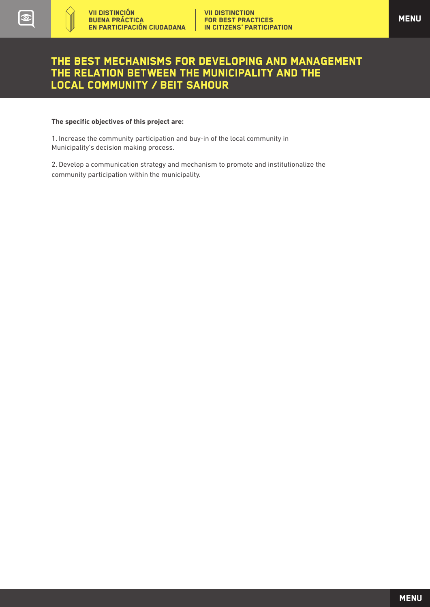### The best mechanisms for developing and management the relation between the municipality and the local community / Beit Sahour

#### **The specific objectives of this project are:**

1. Increase the community participation and buy-in of the local community in Municipality's decision making process.

2. Develop a communication strategy and mechanism to promote and institutionalize the community participation within the municipality.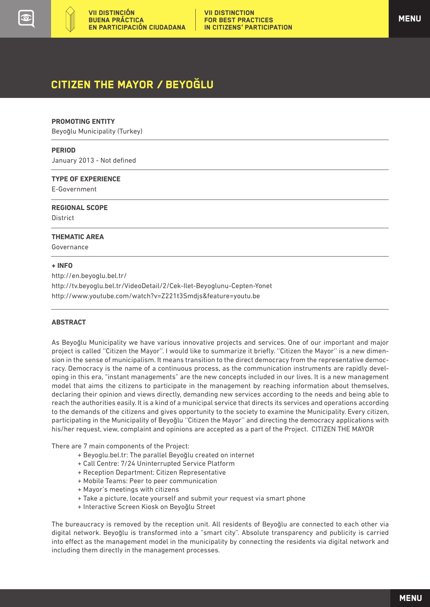# <span id="page-6-0"></span>CITIZEN THE MAYOR / BEYOGLU

#### **PROMOTING ENTITY**

Beyoglu Municipality (Turkey)

#### **PERIOD**

January 2013 - Not defined

#### **TYPE OF EXPERIENCE**

E-Government

#### **REGIONAL SCOPE**

**District** 

 $\overline{a}$ 

#### **THEMATIC AREA**

Governance

#### **+ INFO**

http://en.beyoglu.bel.tr/ http://tv.beyoglu.bel.tr/VideoDetail/2/Cek-Ilet-Beyoglunu-Cepten-Yonet http://www.youtube.com/watch?v=Z221t3Smdjs&feature=youtu.be

#### **ABSTRACT**

As Beyoglu Municipality we have various innovative projects and services. One of our important and major project is called "Citizen the Mayor". I would like to summarize it briefly. "Citizen the Mayor" is a new dimension in the sense of municipalism. It means transition to the direct democracy from the representative democracy. Democracy is the name of a continuous process, as the communication instruments are rapidly developing in this era, "instant managements" are the new concepts included in our lives. It is a new management model that aims the citizens to participate in the management by reaching information about themselves, declaring their opinion and views directly, demanding new services according to the needs and being able to reach the authorities easily. It is a kind of a municipal service that directs its services and operations according to the demands of the citizens and gives opportunity to the society to examine the Municipality. Every citizen, participating in the Municipality of Beyoglu ''Citizen the Mayor'' and directing the democracy applications with his/her request, view, complaint and opinions are accepted as a part of the Project. CITIZEN THE MAYOR

There are 7 main components of the Project:

- + Beyoglu.bel.tr: The parallel Beyoglu created on internet
- + Call Centre: 7/24 Uninterrupted Service Platform
- + Reception Department: Citizen Representative
- + Mobile Teams: Peer to peer communication
- + Mayor's meetings with citizens
- + Take a picture, locate yourself and submit your request via smart phone
- + Interactive Screen Kiosk on Beyoglu Street

The bureaucracy is removed by the reception unit. All residents of Beyoglu are connected to each other via digital network. Beyoglu is transformed into a "smart city". Absolute transparency and publicity is carried into effect as the management model in the municipality by connecting the residents via digital network and including them directly in the management processes.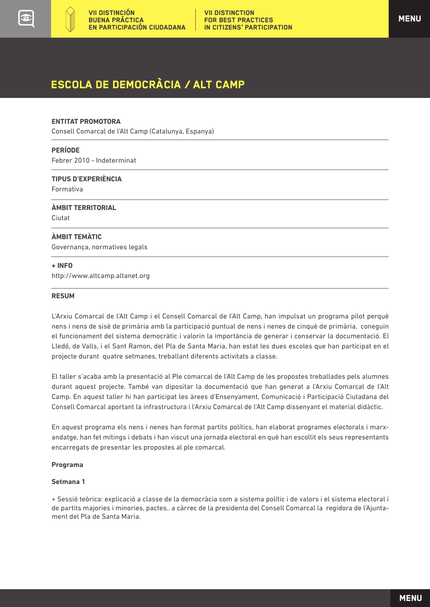<span id="page-7-0"></span>

# ESCOLA DE DEMOCRÀCIA / ALT CAMP

#### **ENTITAT PROMOTORA**

Consell Comarcal de l'Alt Camp (Catalunya, Espanya)

#### **PERÍODE**

Febrer 2010 - Indeterminat

**TIPUS D'EXPERIÈNCIA**

Formativa

**ÀMBIT TERRITORIAL**  Ciutat

#### **ÀMBIT TEMÀTIC**

Governança, normatives legals

#### **+ INFO**

 $\overline{a}$ 

http://www.altcamp.altanet.org

#### **RESUM**

L'Arxiu Comarcal de l'Alt Camp i el Consell Comarcal de l'Alt Camp, han impulsat un programa pilot perquè nens i nens de sisè de primària amb la participació puntual de nens i nenes de cinquè de primària, coneguin el funcionament del sistema democràtic i valorin la importància de generar i conservar la documentació. El Lledó, de Valls, i el Sant Ramon, del Pla de Santa Maria, han estat les dues escoles que han participat en el projecte durant quatre setmanes, treballant diferents activitats a classe.

El taller s'acaba amb la presentació al Ple comarcal de l'Alt Camp de les propostes treballades pels alumnes durant aquest projecte. També van dipositar la documentació que han generat a l'Arxiu Comarcal de l'Alt Camp. En aquest taller hi han participat les àrees d'Ensenyament, Comunicació i Participació Ciutadana del Consell Comarcal aportant la infrastructura i l'Arxiu Comarcal de l'Alt Camp dissenyant el material didàctic.

En aquest programa els nens i nenes han format partits polítics, han elaborat programes electorals i marxandatge, han fet mítings i debats i han viscut una jornada electoral en què han escollit els seus representants encarregats de presentar les propostes al ple comarcal.

#### **Programa**

#### **Setmana 1**

+ Sessió teòrica: explicació a classe de la democràcia com a sistema polític i de valors i el sistema electoral i de partits majories i minories, pactes.. a càrrec de la presidenta del Consell Comarcal la regidora de l'Ajuntament del Pla de Santa Maria.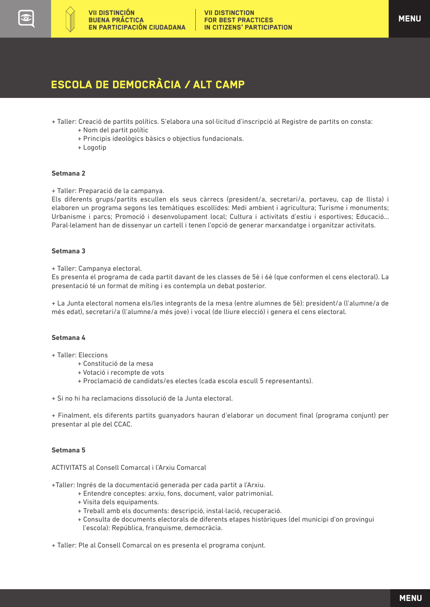## ESCOLA DE DEMOCRÀCIA / ALT CAMP

- + Taller: Creació de partits polítics. S'elabora una sol·licitud d'inscripció al Registre de partits on consta:
	- + Nom del partit polític
	- + Principis ideològics bàsics o objectius fundacionals.
	- + Logotip

#### **Setmana 2**

+ Taller: Preparació de la campanya.

Els diferents grups/partits escullen els seus càrrecs (president/a, secretari/a, portaveu, cap de llista) i elaboren un programa segons les temàtiques escollides: Medi ambient i agricultura; Turisme i monuments; Urbanisme i parcs; Promoció i desenvolupament local; Cultura i activitats d'estiu i esportives; Educació... Paral·lelament han de dissenyar un cartell i tenen l'opció de generar marxandatge i organitzar activitats.

#### **Setmana 3**

+ Taller: Campanya electoral.

Es presenta el programa de cada partit davant de les classes de 5è i 6è (que conformen el cens electoral). La presentació té un format de míting i es contempla un debat posterior.

+ La Junta electoral nomena els/les integrants de la mesa (entre alumnes de 5è): president/a (l'alumne/a de més edat), secretari/a (l'alumne/a més jove) i vocal (de lliure elecció) i genera el cens electoral.

#### **Setmana 4**

- + Taller: Eleccions
	- + Constitució de la mesa
	- + Votació i recompte de vots
	- + Proclamació de candidats/es electes (cada escola escull 5 representants).

+ Si no hi ha reclamacions dissolució de la Junta electoral.

+ Finalment, els diferents partits guanyadors hauran d'elaborar un document final (programa conjunt) per presentar al ple del CCAC.

#### **Setmana 5**

ACTIVITATS al Consell Comarcal i l'Arxiu Comarcal

+Taller: Ingrés de la documentació generada per cada partit a l'Arxiu.

- + Entendre conceptes: arxiu, fons, document, valor patrimonial.
- + Visita dels equipaments.
- + Treball amb els documents: descripció, instal·lació, recuperació.
- + Consulta de documents electorals de diferents etapes històriques (del municipi d'on provingui l'escola): República, franquisme, democràcia.
- + Taller: Ple al Consell Comarcal on es presenta el programa conjunt.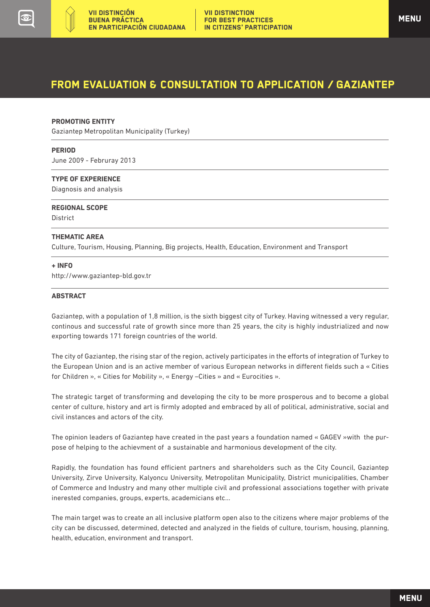<span id="page-9-0"></span>

### From evaluation & consultation to application / GAZIANTEP

#### **PROMOTING ENTITY**

Gaziantep Metropolitan Municipality (Turkey)

#### **PERIOD**

June 2009 - Februray 2013

#### **TYPE OF EXPERIENCE**

Diagnosis and analysis

#### **REGIONAL SCOPE**

**District** 

 $\overline{a}$ 

#### **THEMATIC AREA**

Culture, Tourism, Housing, Planning, Big projects, Health, Education, Environment and Transport

#### **+ INFO**

http://www.gaziantep-bld.gov.tr

#### **ABSTRACT**

Gaziantep, with a population of 1,8 million, is the sixth biggest city of Turkey. Having witnessed a very regular, continous and successful rate of growth since more than 25 years, the city is highly industrialized and now exporting towards 171 foreign countries of the world.

The city of Gaziantep, the rising star of the region, actively participates in the efforts of integration of Turkey to the European Union and is an active member of various European networks in different fields such a « Cities for Children », « Cities for Mobility », « Energy –Cities » and « Eurocities ».

The strategic target of transforming and developing the city to be more prosperous and to become a global center of culture, history and art is firmly adopted and embraced by all of political, administrative, social and civil instances and actors of the city.

The opinion leaders of Gaziantep have created in the past years a foundation named « GAGEV »with the purpose of helping to the achievment of a sustainable and harmonious development of the city.

Rapidly, the foundation has found efficient partners and shareholders such as the City Council, Gaziantep University, Zirve University, Kalyoncu University, Metropolitan Municipality, District municipalities, Chamber of Commerce and Industry and many other multiple civil and professional associations together with private inerested companies, groups, experts, academicians etc...

The main target was to create an all inclusive platform open also to the citizens where major problems of the city can be discussed, determined, detected and analyzed in the fields of culture, tourism, housing, planning, health, education, environment and transport.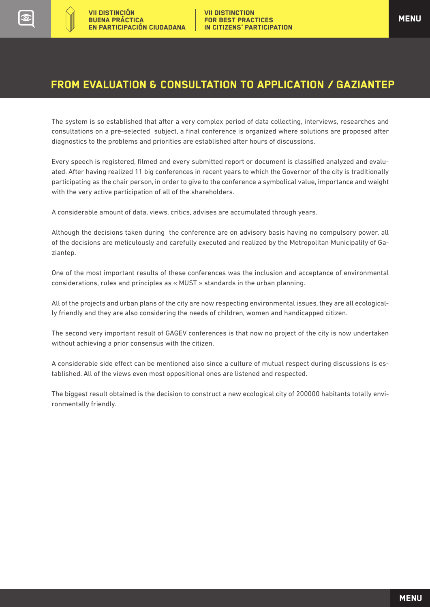### From evaluation & consultation to application / GAZIANTEP

The system is so established that after a very complex period of data collecting, interviews, researches and consultations on a pre-selected subject, a final conference is organized where solutions are proposed after diagnostics to the problems and priorities are established after hours of discussions.

Every speech is registered, filmed and every submitted report or document is classified analyzed and evaluated. After having realized 11 big conferences in recent years to which the Governor of the city is traditionally participating as the chair person, in order to give to the conference a symbolical value, importance and weight with the very active participation of all of the shareholders.

A considerable amount of data, views, critics, advises are accumulated through years.

Although the decisions taken during the conference are on advisory basis having no compulsory power, all of the decisions are meticulously and carefully executed and realized by the Metropolitan Municipality of Gaziantep.

One of the most important results of these conferences was the inclusion and acceptance of environmental considerations, rules and principles as « MUST » standards in the urban planning.

All of the projects and urban plans of the city are now respecting environmental issues, they are all ecologically friendly and they are also considering the needs of children, women and handicapped citizen.

The second very important result of GAGEV conferences is that now no project of the city is now undertaken without achieving a prior consensus with the citizen.

A considerable side effect can be mentioned also since a culture of mutual respect during discussions is established. All of the views even most oppositional ones are listened and respected.

The biggest result obtained is the decision to construct a new ecological city of 200000 habitants totally environmentally friendly.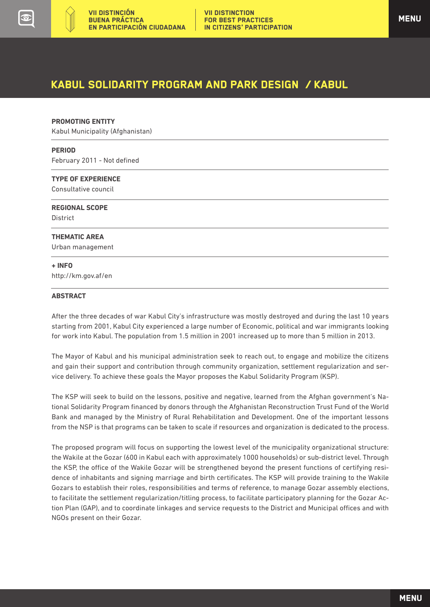<span id="page-11-0"></span>

#### **PROMOTING ENTITY**

Kabul Municipality (Afghanistan)

#### **PERIOD**

 $\overline{a}$ 

February 2011 - Not defined

#### **TYPE OF EXPERIENCE**

Consultative council

**REGIONAL SCOPE District** 

#### **THEMATIC AREA**

Urban management

#### **+ INFO** http://km.gov.af/en

#### **ABSTRACT**

After the three decades of war Kabul City's infrastructure was mostly destroyed and during the last 10 years starting from 2001, Kabul City experienced a large number of Economic, political and war immigrants looking for work into Kabul. The population from 1.5 million in 2001 increased up to more than 5 million in 2013.

The Mayor of Kabul and his municipal administration seek to reach out, to engage and mobilize the citizens and gain their support and contribution through community organization, settlement regularization and service delivery. To achieve these goals the Mayor proposes the Kabul Solidarity Program (KSP).

The KSP will seek to build on the lessons, positive and negative, learned from the Afghan government's National Solidarity Program financed by donors through the Afghanistan Reconstruction Trust Fund of the World Bank and managed by the Ministry of Rural Rehabilitation and Development. One of the important lessons from the NSP is that programs can be taken to scale if resources and organization is dedicated to the process.

The proposed program will focus on supporting the lowest level of the municipality organizational structure: the Wakile at the Gozar (600 in Kabul each with approximately 1000 households) or sub-district level. Through the KSP, the office of the Wakile Gozar will be strengthened beyond the present functions of certifying residence of inhabitants and signing marriage and birth certificates. The KSP will provide training to the Wakile Gozars to establish their roles, responsibilities and terms of reference, to manage Gozar assembly elections, to facilitate the settlement regularization/titling process, to facilitate participatory planning for the Gozar Action Plan (GAP), and to coordinate linkages and service requests to the District and Municipal offices and with NGOs present on their Gozar.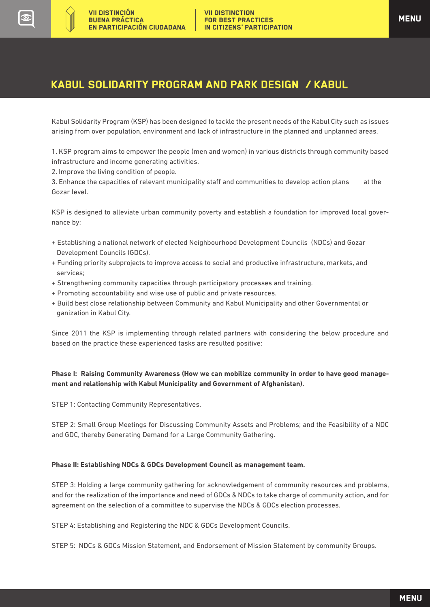Kabul Solidarity Program (KSP) has been designed to tackle the present needs of the Kabul City such as issues arising from over population, environment and lack of infrastructure in the planned and unplanned areas.

1. KSP program aims to empower the people (men and women) in various districts through community based infrastructure and income generating activities.

2. Improve the living condition of people.

3. Enhance the capacities of relevant municipality staff and communities to develop action plans at the Gozar level.

KSP is designed to alleviate urban community poverty and establish a foundation for improved local governance by:

- + Establishing a national network of elected Neighbourhood Development Councils (NDCs) and Gozar Development Councils (GDCs).
- + Funding priority subprojects to improve access to social and productive infrastructure, markets, and services;
- + Strengthening community capacities through participatory processes and training.
- + Promoting accountability and wise use of public and private resources.
- + Build best close relationship between Community and Kabul Municipality and other Governmental or ganization in Kabul City.

Since 2011 the KSP is implementing through related partners with considering the below procedure and based on the practice these experienced tasks are resulted positive:

### **Phase I: Raising Community Awareness (How we can mobilize community in order to have good management and relationship with Kabul Municipality and Government of Afghanistan).**

STEP 1: Contacting Community Representatives.

STEP 2: Small Group Meetings for Discussing Community Assets and Problems; and the Feasibility of a NDC and GDC, thereby Generating Demand for a Large Community Gathering.

### **Phase II: Establishing NDCs & GDCs Development Council as management team.**

STEP 3: Holding a large community gathering for acknowledgement of community resources and problems, and for the realization of the importance and need of GDCs & NDCs to take charge of community action, and for agreement on the selection of a committee to supervise the NDCs & GDCs election processes.

STEP 4: Establishing and Registering the NDC & GDCs Development Councils.

STEP 5: NDCs & GDCs Mission Statement, and Endorsement of Mission Statement by community Groups.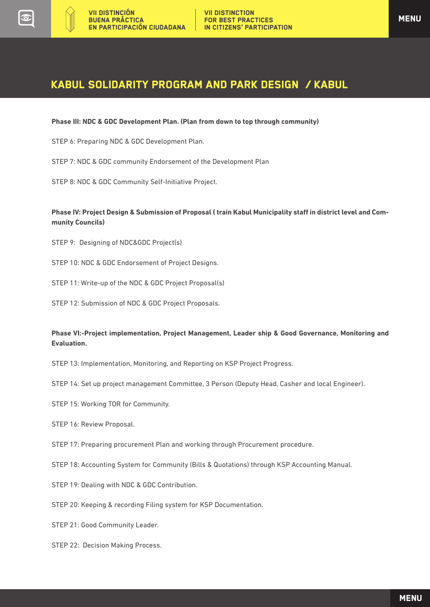**Phase III: NDC & GDC Development Plan. (Plan from down to top through community)**

STEP 6: Preparing NDC & GDC Development Plan.

STEP 7: NDC & GDC community Endorsement of the Development Plan

STEP 8: NDC & GDC Community Self-Initiative Project.

#### **Phase IV: Project Design & Submission of Proposal ( train Kabul Municipality staff in district level and Community Councils)**

STEP 9: Designing of NDC&GDC Project(s)

STEP 10: NDC & GDC Endorsement of Project Designs.

STEP 11: Write-up of the NDC & GDC Project Proposal(s)

STEP 12: Submission of NDC & GDC Project Proposals.

#### **Phase VI:-Project implementation, Project Management, Leader ship & Good Governance, Monitoring and Evaluation.**

- STEP 13: Implementation, Monitoring, and Reporting on KSP Project Progress.
- STEP 14: Set up project management Committee, 3 Person (Deputy Head, Casher and local Engineer).
- STEP 15: Working TOR for Community.
- STEP 16: Review Proposal.
- STEP 17: Preparing procurement Plan and working through Procurement procedure.
- STEP 18: Accounting System for Community (Bills & Quotations) through KSP Accounting Manual.
- STEP 19: Dealing with NDC & GDC Contribution.
- STEP 20: Keeping & recording Filing system for KSP Documentation.

STEP 21: Good Community Leader.

STEP 22: Decision Making Process.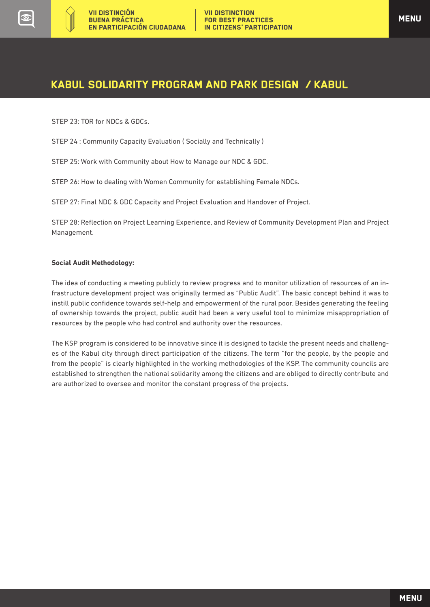

STEP 23: TOR for NDCs & GDCs.

STEP 24 : Community Capacity Evaluation ( Socially and Technically )

STEP 25: Work with Community about How to Manage our NDC & GDC.

STEP 26: How to dealing with Women Community for establishing Female NDCs.

STEP 27: Final NDC & GDC Capacity and Project Evaluation and Handover of Project.

STEP 28: Reflection on Project Learning Experience, and Review of Community Development Plan and Project Management.

#### **Social Audit Methodology:**

The idea of conducting a meeting publicly to review progress and to monitor utilization of resources of an infrastructure development project was originally termed as "Public Audit". The basic concept behind it was to instill public confidence towards self-help and empowerment of the rural poor. Besides generating the feeling of ownership towards the project, public audit had been a very useful tool to minimize misappropriation of resources by the people who had control and authority over the resources.

The KSP program is considered to be innovative since it is designed to tackle the present needs and challenges of the Kabul city through direct participation of the citizens. The term "for the people, by the people and from the people" is clearly highlighted in the working methodologies of the KSP. The community councils are established to strengthen the national solidarity among the citizens and are obliged to directly contribute and are authorized to oversee and monitor the constant progress of the projects.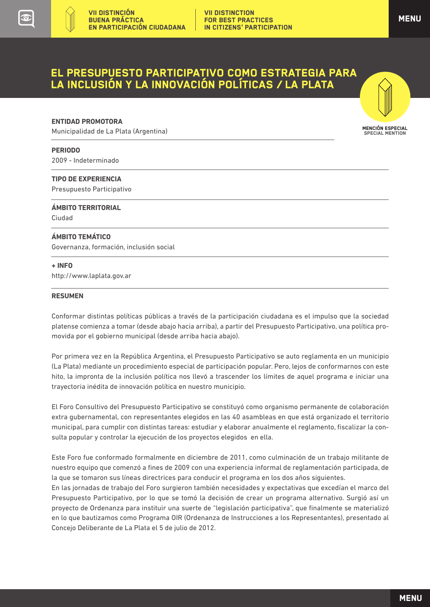MENCIÓN ESPECIAL SPECIAL MENTION

### <span id="page-15-0"></span>EL PRESUPUESTO PARTICIPATIVO COMO ESTRATEGIA PARA LA INCLUSIÓN Y LA INNOVACIÓN POLÍTICAS / LA PLATA

#### **ENTIDAD PROMOTORA**

Municipalidad de La Plata (Argentina)

#### **PERIODO**

2009 - Indeterminado

#### **TIPO DE EXPERIENCIA**

Presupuesto Participativo

### **ÁMBITO TERRITORIAL**

Ciudad  $\overline{a}$ 

#### **ÁMBITO TEMÁTICO**

Governanza, formación, inclusión social

#### **+ INFO**

http://www.laplata.gov.ar

#### **RESUMEN**

Conformar distintas políticas públicas a través de la participación ciudadana es el impulso que la sociedad platense comienza a tomar (desde abajo hacia arriba), a partir del Presupuesto Participativo, una política promovida por el gobierno municipal (desde arriba hacia abajo).

Por primera vez en la República Argentina, el Presupuesto Participativo se auto reglamenta en un municipio (La Plata) mediante un procedimiento especial de participación popular. Pero, lejos de conformarnos con este hito, la impronta de la inclusión política nos llevó a trascender los límites de aquel programa e iniciar una trayectoria inédita de innovación política en nuestro municipio.

El Foro Consultivo del Presupuesto Participativo se constituyó como organismo permanente de colaboración extra gubernamental, con representantes elegidos en las 40 asambleas en que está organizado el territorio municipal, para cumplir con distintas tareas: estudiar y elaborar anualmente el reglamento, fiscalizar la consulta popular y controlar la ejecución de los proyectos elegidos en ella.

Este Foro fue conformado formalmente en diciembre de 2011, como culminación de un trabajo militante de nuestro equipo que comenzó a fines de 2009 con una experiencia informal de reglamentación participada, de la que se tomaron sus líneas directrices para conducir el programa en los dos años siguientes.

En las jornadas de trabajo del Foro surgieron también necesidades y expectativas que excedían el marco del Presupuesto Participativo, por lo que se tomó la decisión de crear un programa alternativo. Surgió así un proyecto de Ordenanza para instituir una suerte de "legislación participativa", que finalmente se materializó en lo que bautizamos como Programa OIR (Ordenanza de Instrucciones a los Representantes), presentado al Concejo Deliberante de La Plata el 5 de julio de 2012.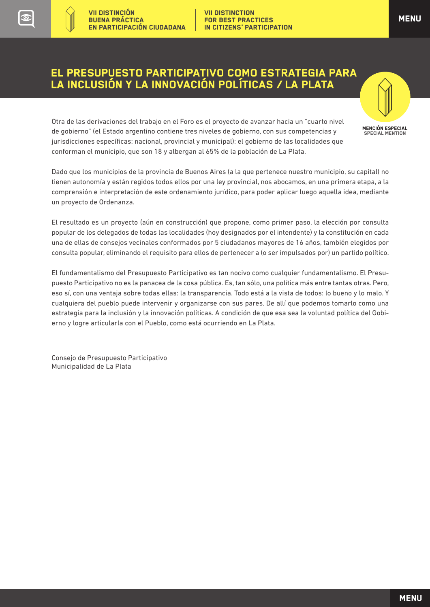VII DISTINCTION FOR BEST PRACTICES IN CITIZENS' PARTICIPATION

Otra de las derivaciones del trabajo en el Foro es el proyecto de avanzar hacia un "cuarto nivel de gobierno" (el Estado argentino contiene tres niveles de gobierno, con sus competencias y jurisdicciones específicas: nacional, provincial y municipal): el gobierno de las localidades que conforman el municipio, que son 18 y albergan al 65% de la población de La Plata.

Dado que los municipios de la provincia de Buenos Aires (a la que pertenece nuestro municipio, su capital) no tienen autonomía y están regidos todos ellos por una ley provincial, nos abocamos, en una primera etapa, a la comprensión e interpretación de este ordenamiento jurídico, para poder aplicar luego aquella idea, mediante un proyecto de Ordenanza.

El resultado es un proyecto (aún en construcción) que propone, como primer paso, la elección por consulta popular de los delegados de todas las localidades (hoy designados por el intendente) y la constitución en cada una de ellas de consejos vecinales conformados por 5 ciudadanos mayores de 16 años, también elegidos por consulta popular, eliminando el requisito para ellos de pertenecer a (o ser impulsados por) un partido político.

El fundamentalismo del Presupuesto Participativo es tan nocivo como cualquier fundamentalismo. El Presupuesto Participativo no es la panacea de la cosa pública. Es, tan sólo, una política más entre tantas otras. Pero, eso sí, con una ventaja sobre todas ellas: la transparencia. Todo está a la vista de todos: lo bueno y lo malo. Y cualquiera del pueblo puede intervenir y organizarse con sus pares. De allí que podemos tomarlo como una estrategia para la inclusión y la innovación políticas. A condición de que esa sea la voluntad política del Gobierno y logre articularla con el Pueblo, como está ocurriendo en La Plata.

Consejo de Presupuesto Participativo Municipalidad de La Plata

VII DISTINCIÓN BUENA PRÁCTICA

EN PARTICIPACIÓN CIUDADANA

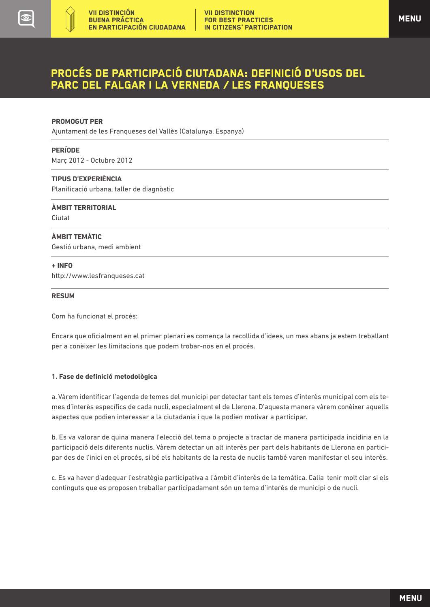### <span id="page-17-0"></span>Procés de Participació Ciutadana: deFinició d'usos del PARC DEL Falgar i la Verneda / LES FRANQUESES

#### **PROMOGUT PER**

Ajuntament de les Franqueses del Vallès (Catalunya, Espanya)

#### **PERÍODE**

Març 2012 - Octubre 2012

#### **TIPUS D'EXPERIÈNCIA**

Planificació urbana, taller de diagnòstic

**ÀMBIT TERRITORIAL**  Ciutat

#### **ÀMBIT TEMÀTIC**

Gestió urbana, medi ambient

#### **+ INFO**

 $\overline{a}$ 

http://www.lesfranqueses.cat

#### **RESUM**

Com ha funcionat el procés:

Encara que oficialment en el primer plenari es comença la recollida d'idees, un mes abans ja estem treballant per a conèixer les limitacions que podem trobar-nos en el procés.

#### **1. Fase de definició metodològica**

a. Vàrem identificar l'agenda de temes del municipi per detectar tant els temes d'interès municipal com els temes d'interès específics de cada nucli, especialment el de Llerona. D'aquesta manera vàrem conèixer aquells aspectes que podien interessar a la ciutadania i que la podien motivar a participar.

b. Es va valorar de quina manera l'elecció del tema o projecte a tractar de manera participada incidiria en la participació dels diferents nuclis. Vàrem detectar un alt interès per part dels habitants de Llerona en participar des de l'inici en el procés, si bé els habitants de la resta de nuclis també varen manifestar el seu interès.

c. Es va haver d'adequar l'estratègia participativa a l'àmbit d'interès de la temàtica. Calia tenir molt clar si els continguts que es proposen treballar participadament són un tema d'interès de municipi o de nucli.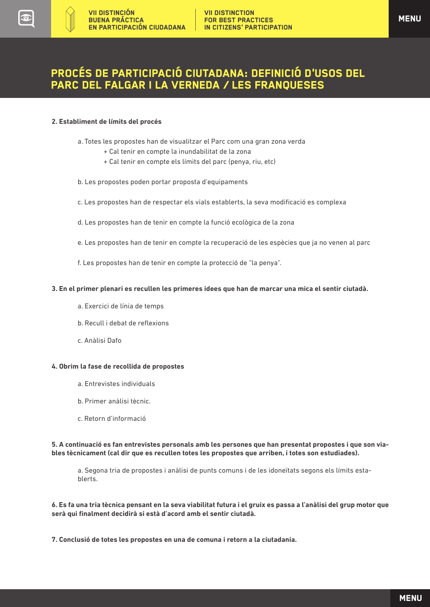### Procés de Participació Ciutadana: deFinició d'usos del PARC DEL Falgar i la Verneda / LES FRANQUESES

#### **2. Establiment de límits del procés**

- a. Totes les propostes han de visualitzar el Parc com una gran zona verda
	- + Cal tenir en compte la inundabilitat de la zona
	- + Cal tenir en compte els límits del parc (penya, riu, etc)
- b. Les propostes poden portar proposta d'equipaments
- c. Les propostes han de respectar els vials establerts, la seva modificació es complexa
- d. Les propostes han de tenir en compte la funció ecològica de la zona
- e. Les propostes han de tenir en compte la recuperació de les espècies que ja no venen al parc
- f. Les propostes han de tenir en compte la protecció de "la penya".

#### **3. En el primer plenari es recullen les primeres idees que han de marcar una mica el sentir ciutadà.**

- a. Exercici de línia de temps
- b. Recull i debat de reflexions
- c. Anàlisi Dafo

#### **4. Obrim la fase de recollida de propostes**

- a. Entrevistes individuals
- b. Primer anàlisi tècnic.
- c. Retorn d'informació

#### **5. A continuació es fan entrevistes personals amb les persones que han presentat propostes i que son viables tècnicament (cal dir que es recullen totes les propostes que arriben, i totes son estudiades).**

a. Segona tria de propostes i anàlisi de punts comuns i de les idoneïtats segons els límits establerts.

**6. Es fa una tria tècnica pensant en la seva viabilitat futura i el gruix es passa a l'anàlisi del grup motor que serà qui finalment decidirà si està d'acord amb el sentir ciutadà.**

**7. Conclusió de totes les propostes en una de comuna i retorn a la ciutadania.**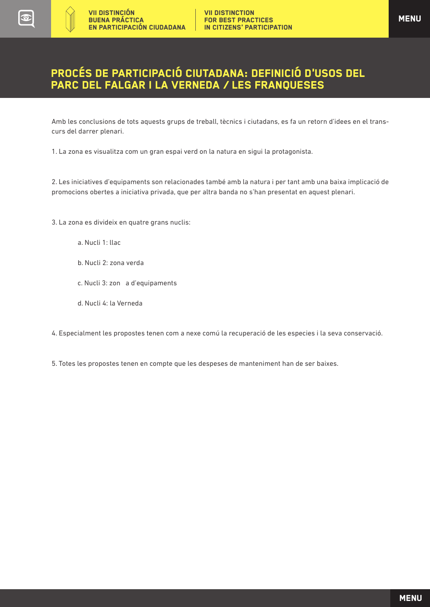### Procés de Participació Ciutadana: deFinició d'usos del PARC DEL Falgar i la Verneda / LES FRANQUESES

Amb les conclusions de tots aquests grups de treball, tècnics i ciutadans, es fa un retorn d'idees en el transcurs del darrer plenari.

1. La zona es visualitza com un gran espai verd on la natura en sigui la protagonista.

2. Les iniciatives d'equipaments son relacionades també amb la natura i per tant amb una baixa implicació de promocions obertes a iniciativa privada, que per altra banda no s'han presentat en aquest plenari.

3. La zona es divideix en quatre grans nuclis:

- a. Nucli 1: llac
- b. Nucli 2: zona verda
- c. Nucli 3: zon a d'equipaments
- d. Nucli 4: la Verneda

4. Especialment les propostes tenen com a nexe comú la recuperació de les especies i la seva conservació.

5. Totes les propostes tenen en compte que les despeses de manteniment han de ser baixes.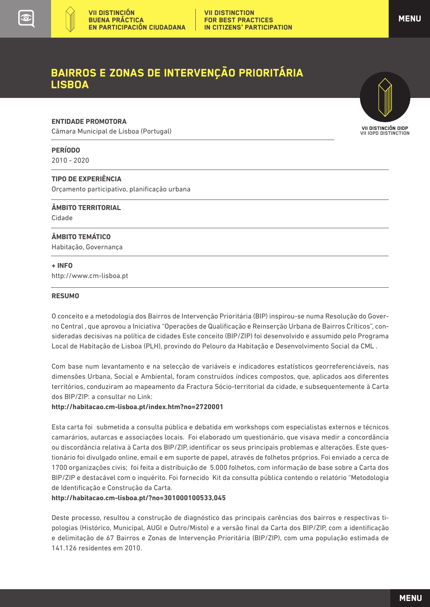### <span id="page-20-0"></span>Bairros e Zonas de intervenção Prioritária LISBOA

#### **ENTIDADE PROMOTORA**

Câmara Municipal de Lisboa (Portugal)

#### **PERÍODO**

2010 - 2020

#### **TIPO DE EXPERIÊNCIA**

Orçamento participativo, planificação urbana

**ÂMBITO TERRITORIAL**  Cidade

#### **ÂMBITO TEMÁTICO**

Habitação, Governança

#### **+ INFO**

 $\overline{a}$ 

http://www.cm-lisboa.pt

#### **RESUMO**

O conceito e a metodologia dos Bairros de Intervenção Prioritária (BIP) inspirou-se numa Resolução do Governo Central , que aprovou a Iniciativa "Operações de Qualificação e Reinserção Urbana de Bairros Críticos", consideradas decisivas na política de cidades Este conceito (BIP/ZIP) foi desenvolvido e assumido pelo Programa Local de Habitação de Lisboa (PLH), provindo do Pelouro da Habitação e Desenvolvimento Social da CML .

Com base num levantamento e na selecção de variáveis e indicadores estatísticos georreferenciáveis, nas dimensões Urbana, Social e Ambiental, foram construídos índices compostos, que, aplicados aos diferentes territórios, conduziram ao mapeamento da Fractura Sócio-territorial da cidade, e subsequentemente à Carta dos BIP/ZIP: a consultar no Link:

#### **http://habitacao.cm-lisboa.pt/index.htm?no=2720001**

Esta carta foi submetida a consulta pública e debatida em workshops com especialistas externos e técnicos camarários, autarcas e associações locais. Foi elaborado um questionário, que visava medir a concordância ou discordância relativa à Carta dos BIP/ZIP, identificar os seus principais problemas e alterações. Este questionário foi divulgado online, email e em suporte de papel, através de folhetos próprios. Foi enviado a cerca de 1700 organizações civis; foi feita a distribuição de 5.000 folhetos, com informação de base sobre a Carta dos BIP/ZIP e destacável com o inquérito. Foi fornecido Kit da consulta pública contendo o relatório "Metodologia de Identificação e Construção da Carta.

#### **http://habitacao.cm-lisboa.pt/?no=301000100533,045**

Deste processo, resultou a construção de diagnóstico das principais carências dos bairros e respectivas tipologias (Histórico, Municipal, AUGI e Outro/Misto) e a versão final da Carta dos BIP/ZIP, com a identificação e delimitação de 67 Bairros e Zonas de Intervenção Prioritária (BIP/ZIP), com uma população estimada de 141.126 residentes em 2010.

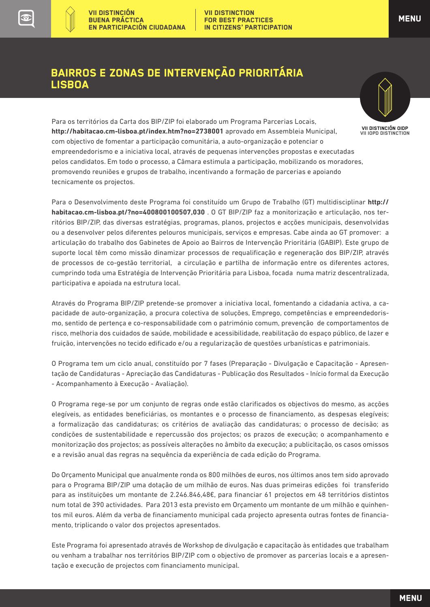$\left(\frac{1}{2} + \frac{1}{2}\right)$ 

## Bairros e Zonas de intervenção Prioritária LISBOA



VII DISTINCIÓN OIDP VII IOPD DISTINCTION

Para os territórios da Carta dos BIP/ZIP foi elaborado um Programa Parcerias Locais, **http://habitacao.cm-lisboa.pt/index.htm?no=2738001** aprovado em Assembleia Municipal, com objectivo de fomentar a participação comunitária, a auto-organização e potenciar o empreendedorismo e a iniciativa local, através de pequenas intervenções propostas e executadas pelos candidatos. Em todo o processo, a Câmara estimula a participação, mobilizando os moradores, promovendo reuniões e grupos de trabalho, incentivando a formação de parcerias e apoiando tecnicamente os projectos.

Para o Desenvolvimento deste Programa foi constituído um Grupo de Trabalho (GT) multidisciplinar **http:// habitacao.cm-lisboa.pt/?no=400800100507,030** . O GT BIP/ZIP faz a monitorização e articulação, nos territórios BIP/ZIP, das diversas estratégias, programas, planos, projectos e acções municipais, desenvolvidas ou a desenvolver pelos diferentes pelouros municipais, serviços e empresas. Cabe ainda ao GT promover: a articulação do trabalho dos Gabinetes de Apoio ao Bairros de Intervenção Prioritária (GABIP). Este grupo de suporte local têm como missão dinamizar processos de requalificação e regeneração dos BIP/ZIP, através de processos de co-gestão territorial, a circulação e partilha de informação entre os diferentes actores, cumprindo toda uma Estratégia de Intervenção Prioritária para Lisboa, focada numa matriz descentralizada, participativa e apoiada na estrutura local.

Através do Programa BIP/ZIP pretende-se promover a iniciativa local, fomentando a cidadania activa, a capacidade de auto-organização, a procura colectiva de soluções, Emprego, competências e empreendedorismo, sentido de pertença e co-responsabilidade com o património comum, prevenção de comportamentos de risco, melhoria dos cuidados de saúde, mobilidade e acessibilidade, reabilitação do espaço público, de lazer e fruição, intervenções no tecido edificado e/ou a regularização de questões urbanísticas e patrimoniais.

O Programa tem um ciclo anual, constituído por 7 fases (Preparação - Divulgação e Capacitação - Apresentação de Candidaturas - Apreciação das Candidaturas - Publicação dos Resultados - Início formal da Execução - Acompanhamento à Execução - Avaliação).

O Programa rege-se por um conjunto de regras onde estão clarificados os objectivos do mesmo, as acções elegíveis, as entidades beneficiárias, os montantes e o processo de financiamento, as despesas elegíveis; a formalização das candidaturas; os critérios de avaliação das candidaturas; o processo de decisão; as condições de sustentabilidade e repercussão dos projectos; os prazos de execução; o acompanhamento e monitorização dos projectos; as possíveis alterações no âmbito da execução; a publicitação, os casos omissos e a revisão anual das regras na sequência da experiência de cada edição do Programa.

Do Orçamento Municipal que anualmente ronda os 800 milhões de euros, nos últimos anos tem sido aprovado para o Programa BIP/ZIP uma dotação de um milhão de euros. Nas duas primeiras edições foi transferido para as instituições um montante de 2.246.846,48€, para financiar 61 projectos em 48 territórios distintos num total de 390 actividades. Para 2013 esta previsto em Orçamento um montante de um milhão e quinhentos mil euros. Além da verba de financiamento municipal cada projecto apresenta outras fontes de financiamento, triplicando o valor dos projectos apresentados.

Este Programa foi apresentado através de Workshop de divulgação e capacitação às entidades que trabalham ou venham a trabalhar nos territórios BIP/ZIP com o objectivo de promover as parcerias locais e a apresentação e execução de projectos com financiamento municipal.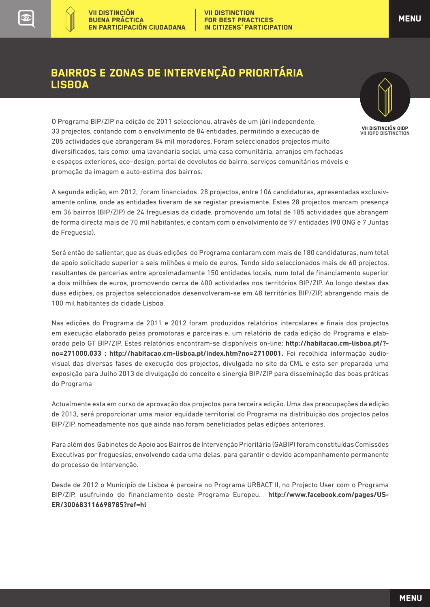$(\gamma)$ 

### Bairros e Zonas de intervenção Prioritária LISBOA



O Programa BIP/ZIP na edição de 2011 seleccionou, através de um júri independente, 33 projectos, contando com o envolvimento de 84 entidades, permitindo a execução de 205 actividades que abrangeram 84 mil moradores. Foram seleccionados projectos muito diversificados, tais como: uma lavandaria social, uma casa comunitária, arranjos em fachadas e espaços exteriores, eco–design, portal de devolutos do bairro, serviços comunitários móveis e promoção da imagem e auto-estima dos bairros.

A segunda edição, em 2012, ,foram financiados 28 projectos, entre 106 candidaturas, apresentadas exclusivamente online, onde as entidades tiveram de se registar previamente. Estes 28 projectos marcam presença em 36 bairros (BIP/ZIP) de 24 freguesias da cidade, promovendo um total de 185 actividades que abrangem de forma directa mais de 70 mil habitantes, e contam com o envolvimento de 97 entidades (90 ONG e 7 Juntas de Freguesia).

Será então de salientar, que as duas edições do Programa contaram com mais de 180 candidaturas, num total de apoio solicitado superior a seis milhões e meio de euros. Tendo sido seleccionados mais de 60 projectos, resultantes de parcerias entre aproximadamente 150 entidades locais, num total de financiamento superior a dois milhões de euros, promovendo cerca de 400 actividades nos territórios BIP/ZIP. Ao longo destas das duas edições, os projectos seleccionados desenvolveram-se em 48 territórios BIP/ZIP, abrangendo mais de 100 mil habitantes da cidade Lisboa.

Nas edições do Programa de 2011 e 2012 foram produzidos relatórios intercalares e finais dos projectos em execução elaborado pelas promotoras e parceiras e, um relatório de cada edição do Programa e elaborado pelo GT BIP/ZIP. Estes relatórios encontram-se disponíveis on-line: **http://habitacao.cm-lisboa.pt/? no=271000,033 ; http://habitacao.cm-lisboa.pt/index.htm?no=2710001.** Foi recolhida informação audiovisual das diversas fases de execução dos projectos, divulgada no site da CML e esta ser preparada uma exposição para Julho 2013 de divulgação do conceito e sinergia BIP/ZIP para disseminação das boas práticas do Programa

Actualmente esta em curso de aprovação dos projectos para terceira edição. Uma das preocupações da edição de 2013, será proporcionar uma maior equidade territorial do Programa na distribuição dos projectos pelos BIP/ZIP, nomeadamente nos que ainda não foram beneficiados pelas edições anteriores.

Para além dos Gabinetes de Apoio aos Bairros de Intervenção Prioritária (GABIP) foram constituídas Comissões Executivas por freguesias, envolvendo cada uma delas, para garantir o devido acompanhamento permanente do processo de Intervenção.

Desde de 2012 o Município de Lisboa é parceira no Programa URBACT II, no Projecto User com o Programa BIP/ZIP, usufruindo do financiamento deste Programa Europeu. **http://www.facebook.com/pages/US-ER/300683116698785?ref=hl**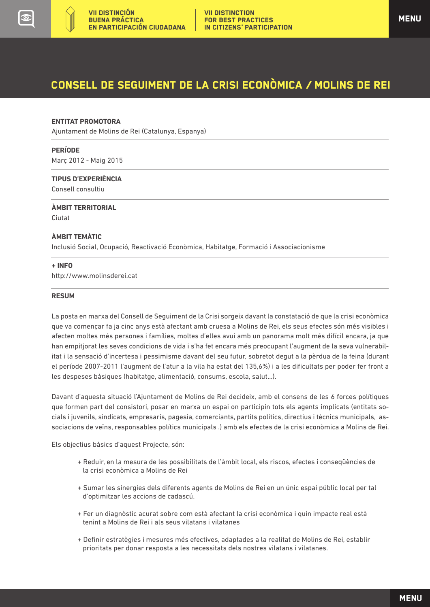<span id="page-23-0"></span>

## Consell de seguiment de la crisi econòmica / MOLINS DE REI

#### **ENTITAT PROMOTORA**

Ajuntament de Molins de Rei (Catalunya, Espanya)

#### **PERÍODE**

Març 2012 - Maig 2015

#### **TIPUS D'EXPERIÈNCIA**

Consell consultiu

#### **ÀMBIT TERRITORIAL**

Ciutat

 $\overline{a}$ 

#### **ÀMBIT TEMÀTIC**

Inclusió Social, Ocupació, Reactivació Econòmica, Habitatge, Formació i Associacionisme

#### **+ INFO**

http://www.molinsderei.cat

#### **RESUM**

La posta en marxa del Consell de Seguiment de la Crisi sorgeix davant la constatació de que la crisi econòmica que va començar fa ja cinc anys està afectant amb cruesa a Molins de Rei, els seus efectes són més visibles i afecten moltes més persones i famílies, moltes d'elles avui amb un panorama molt més difícil encara, ja que han empitjorat les seves condicions de vida i s'ha fet encara més preocupant l'augment de la seva vulnerabilitat i la sensació d'incertesa i pessimisme davant del seu futur, sobretot degut a la pèrdua de la feina (durant el període 2007-2011 l'augment de l'atur a la vila ha estat del 135,6%) i a les dificultats per poder fer front a les despeses bàsiques (habitatge, alimentació, consums, escola, salut...).

Davant d'aquesta situació l'Ajuntament de Molins de Rei decideix, amb el consens de les 6 forces polítiques que formen part del consistori, posar en marxa un espai on participin tots els agents implicats (entitats socials i juvenils, sindicats, empresaris, pagesia, comerciants, partits polítics, directius i tècnics municipals, associacions de veïns, responsables polítics municipals .) amb els efectes de la crisi econòmica a Molins de Rei.

Els objectius bàsics d'aquest Projecte, són:

- + Reduir, en la mesura de les possibilitats de l'àmbit local, els riscos, efectes i conseqüències de la crisi econòmica a Molins de Rei
- + Sumar les sinergies dels diferents agents de Molins de Rei en un únic espai públic local per tal d'optimitzar les accions de cadascú.
- + Fer un diagnòstic acurat sobre com està afectant la crisi econòmica i quin impacte real està tenint a Molins de Rei i als seus vilatans i vilatanes
- + Definir estratègies i mesures més efectives, adaptades a la realitat de Molins de Rei, establir prioritats per donar resposta a les necessitats dels nostres vilatans i vilatanes.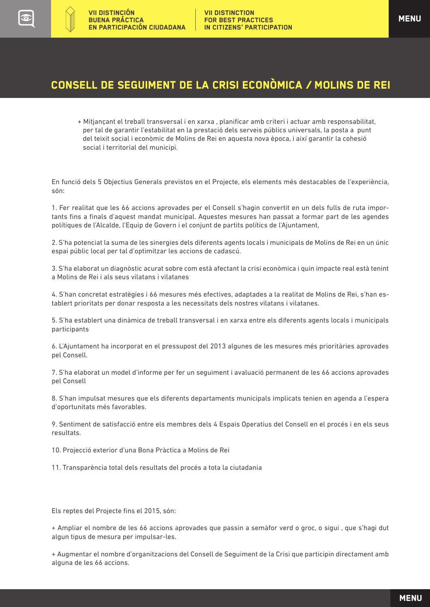## Consell de seguiment de la crisi econòmica / MOLINS DE REI

+ Mitjançant el treball transversal i en xarxa , planificar amb criteri i actuar amb responsabilitat, per tal de garantir l'estabilitat en la prestació dels serveis públics universals, la posta a punt del teixit social i econòmic de Molins de Rei en aquesta nova època, i així garantir la cohesió social i territorial del municipi.

En funció dels 5 Objectius Generals previstos en el Projecte, els elements més destacables de l'experiència, són:

1. Fer realitat que les 66 accions aprovades per el Consell s'hagin convertit en un dels fulls de ruta importants fins a finals d'aquest mandat municipal. Aquestes mesures han passat a formar part de les agendes polítiques de l'Alcalde, l'Equip de Govern i el conjunt de partits polítics de l'Ajuntament,

2. S'ha potenciat la suma de les sinergies dels diferents agents locals i municipals de Molins de Rei en un únic espai públic local per tal d'optimitzar les accions de cadascú.

3. S'ha elaborat un diagnòstic acurat sobre com està afectant la crisi econòmica i quin impacte real està tenint a Molins de Rei i als seus vilatans i vilatanes

4. S'han concretat estratègies i 66 mesures més efectives, adaptades a la realitat de Molins de Rei, s'han establert prioritats per donar resposta a les necessitats dels nostres vilatans i vilatanes.

5. S'ha establert una dinàmica de treball transversal i en xarxa entre els diferents agents locals i municipals participants

6. L'Ajuntament ha incorporat en el pressupost del 2013 algunes de les mesures més prioritàries aprovades pel Consell.

7. S'ha elaborat un model d'informe per fer un seguiment i avaluació permanent de les 66 accions aprovades pel Consell

8. S'han impulsat mesures que els diferents departaments municipals implicats tenien en agenda a l'espera d'oportunitats més favorables.

9. Sentiment de satisfacció entre els membres dels 4 Espais Operatius del Consell en el procés i en els seus resultats.

10. Projecció exterior d'una Bona Pràctica a Molins de Rei

11. Transparència total dels resultats del procés a tota la ciutadania

Els reptes del Projecte fins el 2015, són:

+ Ampliar el nombre de les 66 accions aprovades que passin a semàfor verd o groc, o sigui , que s'hagi dut algun tipus de mesura per impulsar-les.

+ Augmentar el nombre d'organitzacions del Consell de Seguiment de la Crisi que participin directament amb alguna de les 66 accions.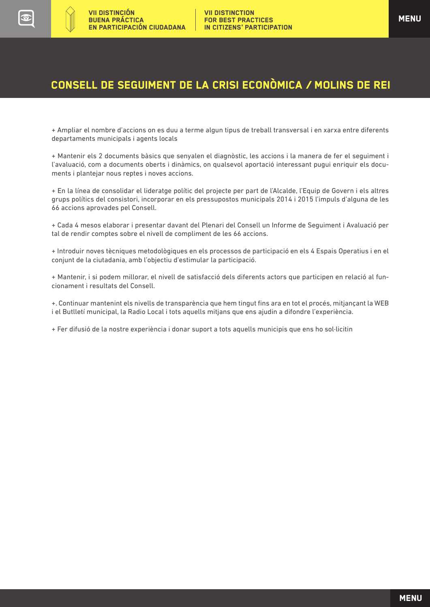## Consell de seguiment de la crisi econòmica / MOLINS DE REI

+ Ampliar el nombre d'accions on es duu a terme algun tipus de treball transversal i en xarxa entre diferents departaments municipals i agents locals

+ Mantenir els 2 documents bàsics que senyalen el diagnòstic, les accions i la manera de fer el seguiment i l'avaluació, com a documents oberts i dinàmics, on qualsevol aportació interessant pugui enriquir els documents i plantejar nous reptes i noves accions.

+ En la línea de consolidar el lideratge polític del projecte per part de l'Alcalde, l'Equip de Govern i els altres grups polítics del consistori, incorporar en els pressupostos municipals 2014 i 2015 l'impuls d'alguna de les 66 accions aprovades pel Consell.

+ Cada 4 mesos elaborar i presentar davant del Plenari del Consell un Informe de Seguiment i Avaluació per tal de rendir comptes sobre el nivell de compliment de les 66 accions.

+ Introduir noves tècniques metodològiques en els processos de participació en els 4 Espais Operatius i en el conjunt de la ciutadania, amb l'objectiu d'estimular la participació.

+ Mantenir, i si podem millorar, el nivell de satisfacció dels diferents actors que participen en relació al funcionament i resultats del Consell.

+. Continuar mantenint els nivells de transparència que hem tingut fins ara en tot el procés, mitjançant la WEB i el Butlletí municipal, la Radio Local i tots aquells mitjans que ens ajudin a difondre l'experiència.

+ Fer difusió de la nostre experiència i donar suport a tots aquells municipis que ens ho sol·licitin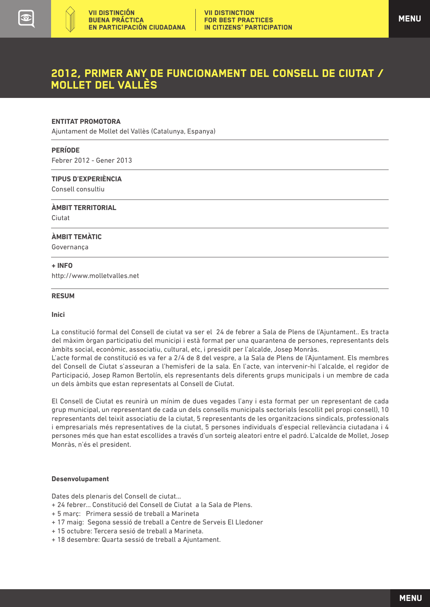### 2012, Primer any de funcionament del consell de ciutat / MOLLET DEL VALLÈS

#### **ENTITAT PROMOTORA**

Ajuntament de Mollet del Vallès (Catalunya, Espanya)

#### **PERÍODE**

<span id="page-26-0"></span> $(\gamma)$ 

Febrer 2012 - Gener 2013

#### **TIPUS D'EXPERIÈNCIA**

Consell consultiu

#### **ÀMBIT TERRITORIAL**

Ciutat

 $\overline{a}$ 

#### **ÀMBIT TEMÀTIC**

Governança

#### **+ INFO**

http://www.molletvalles.net

#### **RESUM**

#### **Inici**

La constitució formal del Consell de ciutat va ser el 24 de febrer a Sala de Plens de l'Ajuntament.. Es tracta del màxim òrgan participatiu del municipi i està format per una quarantena de persones, representants dels àmbits social, econòmic, associatiu, cultural, etc, i presidit per l'alcalde, Josep Monràs.

L'acte formal de constitució es va fer a 2/4 de 8 del vespre, a la Sala de Plens de l'Ajuntament. Els membres del Consell de Ciutat s'asseuran a l'hemisferi de la sala. En l'acte, van intervenir-hi l'alcalde, el regidor de Participació, Josep Ramon Bertolín, els representants dels diferents grups municipals i un membre de cada un dels àmbits que estan representats al Consell de Ciutat.

El Consell de Ciutat es reunirà un mínim de dues vegades l'any i esta format per un representant de cada grup municipal, un representant de cada un dels consells municipals sectorials (escollit pel propi consell), 10 representants del teixit associatiu de la ciutat, 5 representants de les organitzacions sindicals, professionals i empresarials més representatives de la ciutat, 5 persones individuals d'especial rellevància ciutadana i 4 persones més que han estat escollides a través d'un sorteig aleatori entre el padró. L'alcalde de Mollet, Josep Monràs, n'és el president.

#### **Desenvolupament**

Dates dels plenaris del Consell de ciutat...

- + 24 febrer... Constitució del Consell de Ciutat a la Sala de Plens.
- + 5 març: Primera sessió de treball a Marineta
- + 17 maig: Segona sessió de treball a Centre de Serveis El Lledoner
- + 15 octubre: Tercera sesió de treball a Marineta.
- + 18 desembre: Quarta sessió de treball a Ajuntament.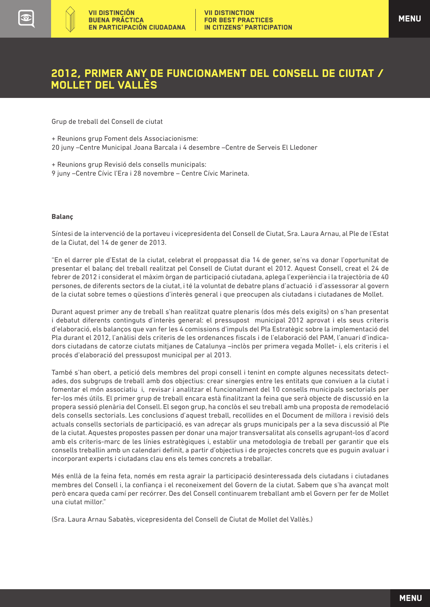### 2012, Primer any de funcionament del consell de ciutat / MOLLET DEL VALLÈS

Grup de treball del Consell de ciutat

+ Reunions grup Foment dels Associacionisme: 20 juny –Centre Municipal Joana Barcala i 4 desembre –Centre de Serveis El Lledoner

+ Reunions grup Revisió dels consells municipals:

9 juny –Centre Cívic l'Era i 28 novembre – Centre Cívic Marineta.

#### **Balanç**

Síntesi de la intervenció de la portaveu i vicepresidenta del Consell de Ciutat, Sra. Laura Arnau, al Ple de l'Estat de la Ciutat, del 14 de gener de 2013.

"En el darrer ple d'Estat de la ciutat, celebrat el proppassat dia 14 de gener, se'ns va donar l'oportunitat de presentar el balanç del treball realitzat pel Consell de Ciutat durant el 2012. Aquest Consell, creat el 24 de febrer de 2012 i considerat el màxim òrgan de participació ciutadana, aplega l'experiència i la trajectòria de 40 persones, de diferents sectors de la ciutat, i té la voluntat de debatre plans d'actuació i d'assessorar al govern de la ciutat sobre temes o qüestions d'interès general i que preocupen als ciutadans i ciutadanes de Mollet.

Durant aquest primer any de treball s'han realitzat quatre plenaris (dos més dels exigits) on s'han presentat i debatut diferents continguts d'interès general: el pressupost municipal 2012 aprovat i els seus criteris d'elaboració, els balanços que van fer les 4 comissions d'impuls del Pla Estratègic sobre la implementació del Pla durant el 2012, l'anàlisi dels criteris de les ordenances fiscals i de l'elaboració del PAM, l'anuari d'indicadors ciutadans de catorze ciutats mitjanes de Catalunya –inclòs per primera vegada Mollet- i, els criteris i el procés d'elaboració del pressupost municipal per al 2013.

També s'han obert, a petició dels membres del propi consell i tenint en compte algunes necessitats detectades, dos subgrups de treball amb dos objectius: crear sinergies entre les entitats que conviuen a la ciutat i fomentar el món associatiu i, revisar i analitzar el funcionalment del 10 consells municipals sectorials per fer-los més útils. El primer grup de treball encara està finalitzant la feina que serà objecte de discussió en la propera sessió plenària del Consell. El segon grup, ha conclòs el seu treball amb una proposta de remodelació dels consells sectorials. Les conclusions d'aquest treball, recollides en el Document de millora i revisió dels actuals consells sectorials de participació, es van adreçar als grups municipals per a la seva discussió al Ple de la ciutat. Aquestes propostes passen per donar una major transversalitat als consells agrupant-los d'acord amb els criteris-marc de les línies estratègiques i, establir una metodologia de treball per garantir que els consells treballin amb un calendari definit, a partir d'objectius i de projectes concrets que es puguin avaluar i incorporant experts i ciutadans clau ens els temes concrets a treballar.

Més enllà de la feina feta, només em resta agrair la participació desinteressada dels ciutadans i ciutadanes membres del Consell i, la confiança i el reconeixement del Govern de la ciutat. Sabem que s'ha avançat molt però encara queda camí per recórrer. Des del Consell continuarem treballant amb el Govern per fer de Mollet una ciutat millor."

(Sra. Laura Arnau Sabatès, vicepresidenta del Consell de Ciutat de Mollet del Vallès.)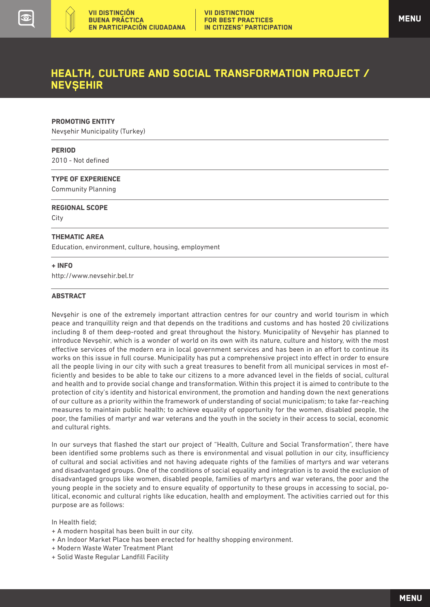### <span id="page-28-0"></span>HEALTH, CULTURE AND SOCIAL TRANSFORMATION PROJECT / NEVSEHIR

#### **PROMOTING ENTITY**

Nevsehir Municipality (Turkey)

#### **PERIOD**

2010 - Not defined

#### **TYPE OF EXPERIENCE**

Community Planning

#### **REGIONAL SCOPE**

City  $\overline{a}$ 

#### **THEMATIC AREA**

Education, environment, culture, housing, employment

#### **+ INFO**

http://www.nevsehir.bel.tr

#### **ABSTRACT**

Nevsehir is one of the extremely important attraction centres for our country and world tourism in which peace and tranquillity reign and that depends on the traditions and customs and has hosted 20 civilizations including 8 of them deep-rooted and great throughout the history. Municipality of Nevsehir has planned to introduce Nevsehir, which is a wonder of world on its own with its nature, culture and history, with the most effective services of the modern era in local government services and has been in an effort to continue its works on this issue in full course. Municipality has put a comprehensive project into effect in order to ensure all the people living in our city with such a great treasures to benefit from all municipal services in most efficiently and besides to be able to take our citizens to a more advanced level in the fields of social, cultural and health and to provide social change and transformation. Within this project it is aimed to contribute to the protection of city's identity and historical environment, the promotion and handing down the next generations of our culture as a priority within the framework of understanding of social municipalism; to take far-reaching measures to maintain public health; to achieve equality of opportunity for the women, disabled people, the poor, the families of martyr and war veterans and the youth in the society in their access to social, economic and cultural rights.

In our surveys that flashed the start our project of "Health, Culture and Social Transformation", there have been identified some problems such as there is environmental and visual pollution in our city, insufficiency of cultural and social activities and not having adequate rights of the families of martyrs and war veterans and disadvantaged groups. One of the conditions of social equality and integration is to avoid the exclusion of disadvantaged groups like women, disabled people, families of martyrs and war veterans, the poor and the young people in the society and to ensure equality of opportunity to these groups in accessing to social, political, economic and cultural rights like education, health and employment. The activities carried out for this purpose are as follows:

In Health field;

- + A modern hospital has been built in our city.
- + An Indoor Market Place has been erected for healthy shopping environment.
- + Modern Waste Water Treatment Plant
- + Solid Waste Regular Landfill Facility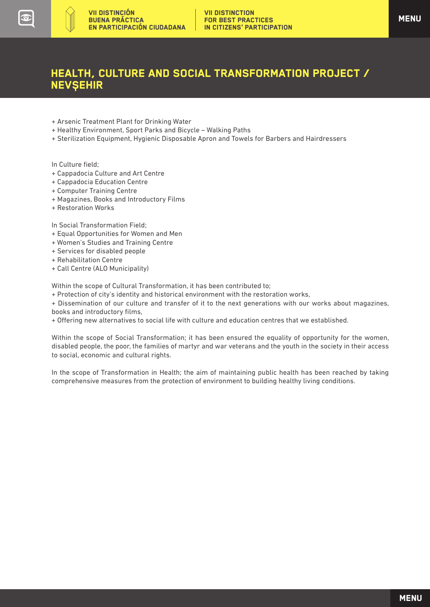### HEALTH, CULTURE AND SOCIAL TRANSFORMATION PROJECT / NEVSEHIR

- + Arsenic Treatment Plant for Drinking Water
- + Healthy Environment, Sport Parks and Bicycle Walking Paths
- + Sterilization Equipment, Hygienic Disposable Apron and Towels for Barbers and Hairdressers

In Culture field;

 $(\gamma)$ 

- + Cappadocia Culture and Art Centre
- + Cappadocia Education Centre
- + Computer Training Centre
- + Magazines, Books and Introductory Films
- + Restoration Works

In Social Transformation Field;

- + Equal Opportunities for Women and Men
- + Women's Studies and Training Centre
- + Services for disabled people
- + Rehabilitation Centre
- + Call Centre (ALO Municipality)

Within the scope of Cultural Transformation, it has been contributed to;

+ Protection of city's identity and historical environment with the restoration works,

+ Dissemination of our culture and transfer of it to the next generations with our works about magazines, books and introductory films,

+ Offering new alternatives to social life with culture and education centres that we established.

Within the scope of Social Transformation; it has been ensured the equality of opportunity for the women, disabled people, the poor, the families of martyr and war veterans and the youth in the society in their access to social, economic and cultural rights.

In the scope of Transformation in Health; the aim of maintaining public health has been reached by taking comprehensive measures from the protection of environment to building healthy living conditions.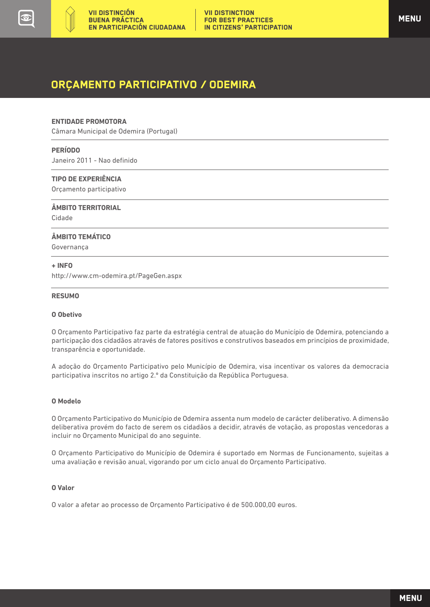<span id="page-30-0"></span>

### ORÇAMENTO PARTICIPATIVO / ODEMIRA

#### **ENTIDADE PROMOTORA**

Câmara Municipal de Odemira (Portugal)

#### **PERÍODO**

Janeiro 2011 - Nao definido

#### **TIPO DE EXPERIÊNCIA**

Orçamento participativo

#### **ÂMBITO TERRITORIAL**

Cidade

 $\overline{a}$ 

#### **ÂMBITO TEMÁTICO**

Governança

#### **+ INFO**

http://www.cm-odemira.pt/PageGen.aspx

#### **RESUMO**

#### **O Obetivo**

O Orçamento Participativo faz parte da estratégia central de atuação do Município de Odemira, potenciando a participação dos cidadãos através de fatores positivos e construtivos baseados em princípios de proximidade, transparência e oportunidade.

A adoção do Orçamento Participativo pelo Município de Odemira, visa incentivar os valores da democracia participativa inscritos no artigo 2.º da Constituição da República Portuguesa.

#### **O Modelo**

O Orçamento Participativo do Município de Odemira assenta num modelo de carácter deliberativo. A dimensão deliberativa provém do facto de serem os cidadãos a decidir, através de votação, as propostas vencedoras a incluir no Orçamento Municipal do ano seguinte.

O Orçamento Participativo do Município de Odemira é suportado em Normas de Funcionamento, sujeitas a uma avaliação e revisão anual, vigorando por um ciclo anual do Orçamento Participativo.

#### **O Valor**

O valor a afetar ao processo de Orçamento Participativo é de 500.000,00 euros.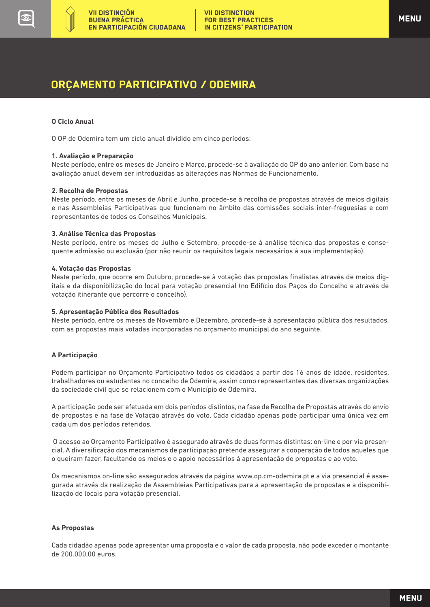### ORÇAMENTO PARTICIPATIVO / ODEMIRA

#### **O Ciclo Anual**

O OP de Odemira tem um ciclo anual dividido em cinco períodos:

#### **1. Avaliação e Preparação**

Neste período, entre os meses de Janeiro e Março, procede-se à avaliação do OP do ano anterior. Com base na avaliação anual devem ser introduzidas as alterações nas Normas de Funcionamento.

#### **2. Recolha de Propostas**

Neste período, entre os meses de Abril e Junho, procede-se à recolha de propostas através de meios digitais e nas Assembleias Participativas que funcionam no âmbito das comissões sociais inter-freguesias e com representantes de todos os Conselhos Municipais.

#### **3. Análise Técnica das Propostas**

Neste período, entre os meses de Julho e Setembro, procede-se à análise técnica das propostas e consequente admissão ou exclusão (por não reunir os requisitos legais necessários à sua implementação).

#### **4. Votação das Propostas**

Neste período, que ocorre em Outubro, procede-se à votação das propostas finalistas através de meios digitais e da disponibilização do local para votação presencial (no Edifício dos Paços do Concelho e através de votação itinerante que percorre o concelho).

#### **5. Apresentação Pública dos Resultados**

Neste período, entre os meses de Novembro e Dezembro, procede-se à apresentação pública dos resultados, com as propostas mais votadas incorporadas no orçamento municipal do ano seguinte.

#### **A Participação**

Podem participar no Orçamento Participativo todos os cidadãos a partir dos 16 anos de idade, residentes, trabalhadores ou estudantes no concelho de Odemira, assim como representantes das diversas organizações da sociedade civil que se relacionem com o Município de Odemira.

A participação pode ser efetuada em dois períodos distintos, na fase de Recolha de Propostas através do envio de propostas e na fase de Votação através do voto. Cada cidadão apenas pode participar uma única vez em cada um dos períodos referidos.

 O acesso ao Orçamento Participativo é assegurado através de duas formas distintas: on-line e por via presencial. A diversificação dos mecanismos de participação pretende assegurar a cooperação de todos aqueles que o queiram fazer, facultando os meios e o apoio necessários à apresentação de propostas e ao voto.

Os mecanismos on-line são assegurados através da página www.op.cm-odemira.pt e a via presencial é assegurada através da realização de Assembleias Participativas para a apresentação de propostas e a disponibilização de locais para votação presencial.

#### **As Propostas**

Cada cidadão apenas pode apresentar uma proposta e o valor de cada proposta, não pode exceder o montante de 200.000,00 euros.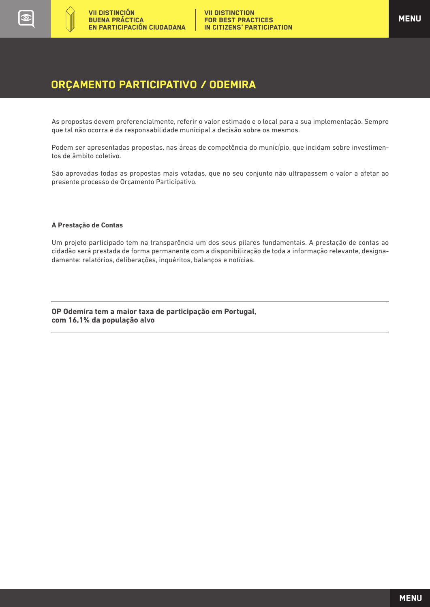### ORÇAMENTO PARTICIPATIVO / ODEMIRA

As propostas devem preferencialmente, referir o valor estimado e o local para a sua implementação. Sempre que tal não ocorra é da responsabilidade municipal a decisão sobre os mesmos.

Podem ser apresentadas propostas, nas áreas de competência do município, que incidam sobre investimentos de âmbito coletivo.

São aprovadas todas as propostas mais votadas, que no seu conjunto não ultrapassem o valor a afetar ao presente processo de Orçamento Participativo.

#### **A Prestação de Contas**

Um projeto participado tem na transparência um dos seus pilares fundamentais. A prestação de contas ao cidadão será prestada de forma permanente com a disponibilização de toda a informação relevante, designadamente: relatórios, deliberações, inquéritos, balanços e notícias.

**OP Odemira tem a maior taxa de participação em Portugal, com 16,1% da população alvo**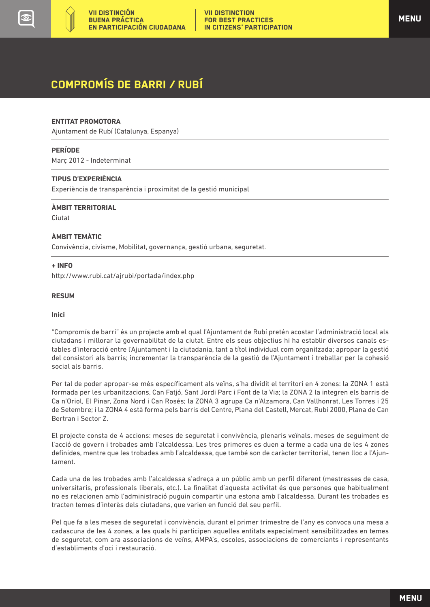<span id="page-33-0"></span>

## COMPROMÍS DE BARRI / RUBÍ

#### **ENTITAT PROMOTORA**

Ajuntament de Rubí (Catalunya, Espanya)

#### **PERÍODE**

Març 2012 - Indeterminat

#### **TIPUS D'EXPERIÈNCIA**

Experiència de transparència i proximitat de la gestió municipal

#### **ÀMBIT TERRITORIAL**

Ciutat

 $\overline{a}$ 

#### **ÀMBIT TEMÀTIC**

Convivència, civisme, Mobilitat, governança, gestió urbana, seguretat.

#### **+ INFO**

http://www.rubi.cat/ajrubi/portada/index.php

#### **RESUM**

#### **Inici**

"Compromís de barri" és un projecte amb el qual l'Ajuntament de Rubí pretén acostar l'administració local als ciutadans i millorar la governabilitat de la ciutat. Entre els seus objectius hi ha establir diversos canals estables d'interacció entre l'Ajuntament i la ciutadania, tant a títol individual com organitzada; apropar la gestió del consistori als barris; incrementar la transparència de la gestió de l'Ajuntament i treballar per la cohesió social als barris.

Per tal de poder apropar-se més específicament als veïns, s'ha dividit el territori en 4 zones: la ZONA 1 està formada per les urbanitzacions, Can Fatjó, Sant Jordi Parc i Font de la Via; la ZONA 2 la integren els barris de Ca n'Oriol, El Pinar, Zona Nord i Can Rosés; la ZONA 3 agrupa Ca n'Alzamora, Can Vallhonrat, Les Torres i 25 de Setembre; i la ZONA 4 està forma pels barris del Centre, Plana del Castell, Mercat, Rubí 2000, Plana de Can Bertran i Sector Z.

El projecte consta de 4 accions: meses de seguretat i convivència, plenaris veïnals, meses de seguiment de l'acció de govern i trobades amb l'alcaldessa. Les tres primeres es duen a terme a cada una de les 4 zones definides, mentre que les trobades amb l'alcaldessa, que també son de caràcter territorial, tenen lloc a l'Ajuntament.

Cada una de les trobades amb l'alcaldessa s'adreça a un públic amb un perfil diferent (mestresses de casa, universitaris, professionals liberals, etc.). La finalitat d'aquesta activitat és que persones que habitualment no es relacionen amb l'administració puguin compartir una estona amb l'alcaldessa. Durant les trobades es tracten temes d'interès dels ciutadans, que varien en funció del seu perfil.

Pel que fa a les meses de seguretat i convivència, durant el primer trimestre de l'any es convoca una mesa a cadascuna de les 4 zones, a les quals hi participen aquelles entitats especialment sensibilitzades en temes de seguretat, com ara associacions de veïns, AMPA's, escoles, associacions de comerciants i representants d'establiments d'oci i restauració.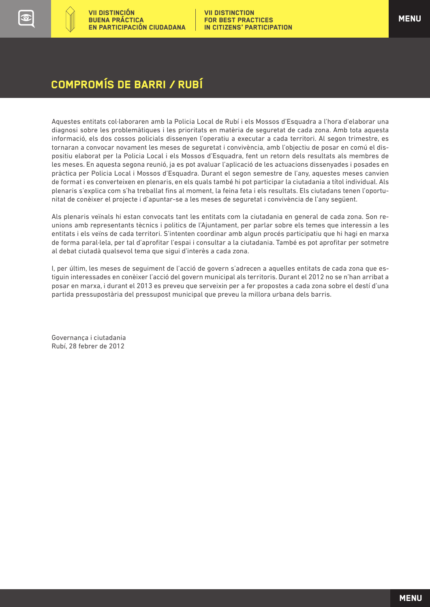## COMPROMÍS DE BARRI / RUBÍ

Aquestes entitats col·laboraren amb la Policia Local de Rubí i els Mossos d'Esquadra a l'hora d'elaborar una diagnosi sobre les problemàtiques i les prioritats en matèria de seguretat de cada zona. Amb tota aquesta informació, els dos cossos policials dissenyen l'operatiu a executar a cada territori. Al segon trimestre, es tornaran a convocar novament les meses de seguretat i convivència, amb l'objectiu de posar en comú el dispositiu elaborat per la Policia Local i els Mossos d'Esquadra, fent un retorn dels resultats als membres de les meses. En aquesta segona reunió, ja es pot avaluar l'aplicació de les actuacions dissenyades i posades en pràctica per Policia Local i Mossos d'Esquadra. Durant el segon semestre de l'any, aquestes meses canvien de format i es converteixen en plenaris, en els quals també hi pot participar la ciutadania a títol individual. Als plenaris s'explica com s'ha treballat fins al moment, la feina feta i els resultats. Els ciutadans tenen l'oportunitat de conèixer el projecte i d'apuntar-se a les meses de seguretat i convivència de l'any següent.

Als plenaris veïnals hi estan convocats tant les entitats com la ciutadania en general de cada zona. Son reunions amb representants tècnics i politics de l'Ajuntament, per parlar sobre els temes que interessin a les entitats i els veïns de cada territori. S'intenten coordinar amb algun procés participatiu que hi hagi en marxa de forma paral·lela, per tal d'aprofitar l'espai i consultar a la ciutadania. També es pot aprofitar per sotmetre al debat ciutadà qualsevol tema que sigui d'interès a cada zona.

I, per últim, les meses de seguiment de l'acció de govern s'adrecen a aquelles entitats de cada zona que estiguin interessades en conèixer l'acció del govern municipal als territoris. Durant el 2012 no se n'han arribat a posar en marxa, i durant el 2013 es preveu que serveixin per a fer propostes a cada zona sobre el destí d'una partida pressupostària del pressupost municipal que preveu la millora urbana dels barris.

Governança i ciutadania Rubí, 28 febrer de 2012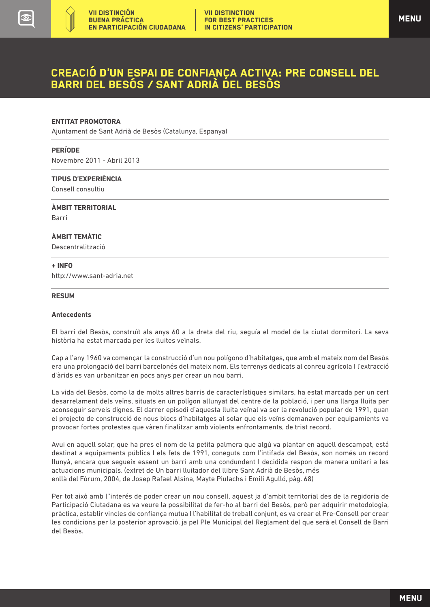### <span id="page-35-0"></span>CREACIó D'UN ESPAI DE CONFIANÇA ACTIVA: PRE CONSELL DEL BARRI DEL BESÓS / SANT ADRIÀ DEL BESÒS

#### **ENTITAT PROMOTORA**

Ajuntament de Sant Adrià de Besòs (Catalunya, Espanya)

#### **PERÍODE**

Novembre 2011 - Abril 2013

#### **TIPUS D'EXPERIÈNCIA**

Consell consultiu

**ÀMBIT TERRITORIAL** 

Barri

 $\overline{a}$ 

#### **ÀMBIT TEMÀTIC**

Descentralització

#### **+ INFO**

http://www.sant-adria.net

#### **RESUM**

#### **Antecedents**

El barri del Besòs, construït als anys 60 a la dreta del riu, seguía el model de la ciutat dormitori. La seva història ha estat marcada per les lluites veïnals.

Cap a l'any 1960 va començar la construcció d'un nou polígono d'habitatges, que amb el mateix nom del Besòs era una prolongació del barri barcelonés del mateix nom. Els terrenys dedicats al conreu agrícola I l'extracció d'àrids es van urbanitzar en pocs anys per crear un nou barri.

La vida del Besòs, como la de molts altres barris de característiques similars, ha estat marcada per un cert desarrelament dels veïns, situats en un polígon allunyat del centre de la població, i per una llarga lluita per aconseguir serveis dignes. El darrer episodi d'aquesta lluita veïnal va ser la revolució popular de 1991, quan el projecto de construcció de nous blocs d'habitatges al solar que els veïns demanaven per equipamients va provocar fortes protestes que vàren finalitzar amb violents enfrontaments, de trist record.

Avui en aquell solar, que ha pres el nom de la petita palmera que algú va plantar en aquell descampat, está destinat a equipaments públics I els fets de 1991, coneguts com l'intifada del Besòs, son només un record llunyà, encara que segueix essent un barri amb una condundent I decidida respon de manera unitari a les actuacions municipals. (extret de Un barri lluitador del llibre Sant Adrià de Besòs, més enllà del Fòrum, 2004, de Josep Rafael Alsina, Mayte Piulachs i Emili Agulló, pàg. 68)

Per tot això amb l''interés de poder crear un nou consell, aquest ja d'ambit territorial des de la regidoria de Participació Ciutadana es va veure la possibilitat de fer-ho al barri del Besòs, però per adquirir metodologia, pràctica, establir vincles de confiança mutua I l'habilitat de treball conjunt, es va crear el Pre-Consell per crear les condicions per la posterior aprovació, ja pel Ple Municipal del Reglament del que será el Consell de Barri del Besòs.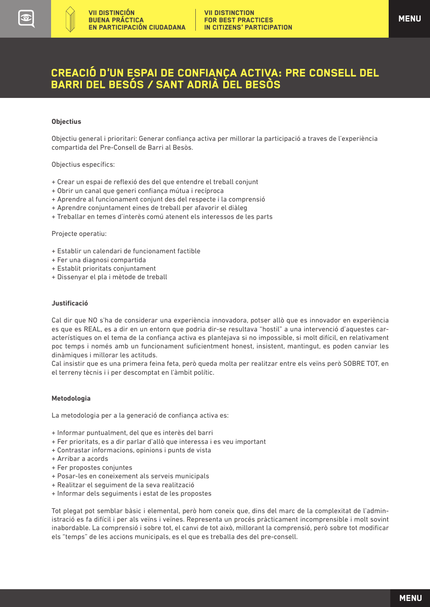### CREACIó D'UN ESPAI DE CONFIANÇA ACTIVA: PRE CONSELL DEL BARRI DEL BESÓS / SANT ADRIÀ DEL BESÒS

#### **Objectius**

Objectiu general i prioritari: Generar confiança activa per millorar la participació a traves de l'experiència compartida del Pre-Consell de Barri al Besòs.

Objectius específics:

- + Crear un espai de reflexió des del que entendre el treball conjunt
- + Obrir un canal que generi confiança mútua i recíproca
- + Aprendre al funcionament conjunt des del respecte i la comprensió
- + Aprendre conjuntament eines de treball per afavorir el diàleg
- + Treballar en temes d'interès comú atenent els interessos de les parts

Projecte operatiu:

- + Establir un calendari de funcionament factible
- + Fer una diagnosi compartida
- + Establit prioritats conjuntament
- + Dissenyar el pla i mètode de treball

#### **Justificació**

Cal dir que NO s'ha de considerar una experiència innovadora, potser allò que es innovador en experiència es que es REAL, es a dir en un entorn que podria dir-se resultava "hostil" a una intervenció d'aquestes característiques on el tema de la confiança activa es plantejava si no impossible, si molt difícil, en relativament poc temps i només amb un funcionament suficientment honest, insistent, mantingut, es poden canviar les dinàmiques i millorar les actituds.

Cal insistir que es una primera feina feta, però queda molta per realitzar entre els veïns però SOBRE TOT, en el terreny tècnis i i per descomptat en l'àmbit polític.

#### **Metodologia**

La metodologia per a la generació de confiança activa es:

- + Informar puntualment, del que es interès del barri
- + Fer prioritats, es a dir parlar d'allò que interessa i es veu important
- + Contrastar informacions, opinions i punts de vista
- + Arribar a acords
- + Fer propostes conjuntes
- + Posar-les en coneixement als serveis municipals
- + Realitzar el seguiment de la seva realització
- + Informar dels seguiments i estat de les propostes

Tot plegat pot semblar bàsic i elemental, però hom coneix que, dins del marc de la complexitat de l'administració es fa difícil i per als veïns i veïnes. Representa un procés pràcticament incomprensible i molt sovint inabordable. La comprensió i sobre tot, el canvi de tot això, millorant la comprensió, però sobre tot modificar els "temps" de les accions municipals, es el que es treballa des del pre-consell.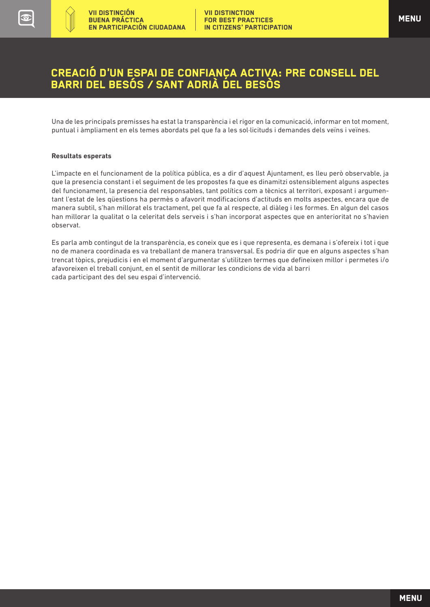### CREACIó D'UN ESPAI DE CONFIANÇA ACTIVA: PRE CONSELL DEL BARRI DEL BESÓS / SANT ADRIÀ DEL BESÒS

Una de les principals premisses ha estat la transparència i el rigor en la comunicació, informar en tot moment, puntual i àmpliament en els temes abordats pel que fa a les sol·licituds i demandes dels veïns i veïnes.

#### **Resultats esperats**

 $\left(\frac{1}{2}\right)$ 

L'impacte en el funcionament de la política pública, es a dir d'aquest Ajuntament, es lleu però observable, ja que la presencia constant i el seguiment de les propostes fa que es dinamitzi ostensiblement alguns aspectes del funcionament, la presencia del responsables, tant polítics com a tècnics al territori, exposant i argumentant l'estat de les qüestions ha permès o afavorit modificacions d'actituds en molts aspectes, encara que de manera subtil, s'han millorat els tractament, pel que fa al respecte, al diàleg i les formes. En algun del casos han millorar la qualitat o la celeritat dels serveis i s'han incorporat aspectes que en anterioritat no s'havien observat.

Es parla amb contingut de la transparència, es coneix que es i que representa, es demana i s'ofereix i tot i que no de manera coordinada es va treballant de manera transversal. Es podria dir que en alguns aspectes s'han trencat tòpics, prejudicis i en el moment d'argumentar s'utilitzen termes que defineixen millor i permetes i/o afavoreixen el treball conjunt, en el sentit de millorar les condicions de vida al barri cada participant des del seu espai d'intervenció.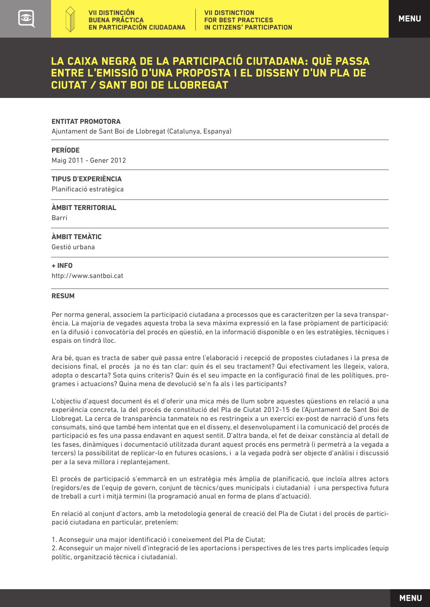<span id="page-38-0"></span>

#### **ENTITAT PROMOTORA**

Ajuntament de Sant Boi de Llobregat (Catalunya, Espanya)

#### **PERÍODE**

Maig 2011 - Gener 2012

#### **TIPUS D'EXPERIÈNCIA**

Planificació estratègica

#### **ÀMBIT TERRITORIAL**

Barri

 $\overline{a}$ 

#### **ÀMBIT TEMÀTIC**

Gestió urbana

#### **+ INFO**

http://www.santboi.cat

#### **RESUM**

Per norma general, associem la participació ciutadana a processos que es caracteritzen per la seva transparència. La majoria de vegades aquesta troba la seva màxima expressió en la fase pròpiament de participació: en la difusió i convocatòria del procés en qüestió, en la informació disponible o en les estratègies, tècniques i espais on tindrà lloc.

Ara bé, quan es tracta de saber què passa entre l'elaboració i recepció de propostes ciutadanes i la presa de decisions final, el procés ja no és tan clar: quin és el seu tractament? Qui efectivament les llegeix, valora, adopta o descarta? Sota quins criteris? Quin és el seu impacte en la configuració final de les polítiques, programes i actuacions? Quina mena de devolució se'n fa als i les participants?

L'objectiu d'aquest document és el d'oferir una mica més de llum sobre aquestes qüestions en relació a una experiència concreta, la del procés de constitució del Pla de Ciutat 2012-15 de l'Ajuntament de Sant Boi de Llobregat. La cerca de transparència tanmateix no es restringeix a un exercici ex-post de narració d'uns fets consumats, sinó que també hem intentat que en el disseny, el desenvolupament i la comunicació del procés de participació es fes una passa endavant en aquest sentit. D'altra banda, el fet de deixar constància al detall de les fases, dinàmiques i documentació utilitzada durant aquest procés ens permetrà (i permetrà a la vegada a tercers) la possibilitat de replicar-lo en futures ocasions, i a la vegada podrà ser objecte d'anàlisi i discussió per a la seva millora i replantejament.

El procés de participació s'emmarcà en un estratègia més àmplia de planificació, que incloïa altres actors (regidors/es de l'equip de govern, conjunt de tècnics/ques municipals i ciutadania) i una perspectiva futura de treball a curt i mitjà termini (la programació anual en forma de plans d'actuació).

En relació al conjunt d'actors, amb la metodologia general de creació del Pla de Ciutat i del procés de participació ciutadana en particular, preteníem:

1. Aconseguir una major identificació i coneixement del Pla de Ciutat;

2. Aconseguir un major nivell d'integració de les aportacions i perspectives de les tres parts implicades (equip polític, organització tècnica i ciutadania).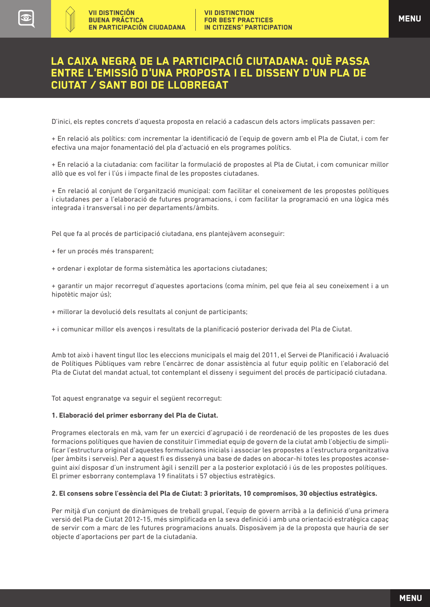D'inici, els reptes concrets d'aquesta proposta en relació a cadascun dels actors implicats passaven per:

+ En relació als polítics: com incrementar la identificació de l'equip de govern amb el Pla de Ciutat, i com fer efectiva una major fonamentació del pla d'actuació en els programes polítics.

+ En relació a la ciutadania: com facilitar la formulació de propostes al Pla de Ciutat, i com comunicar millor allò que es vol fer i l'ús i impacte final de les propostes ciutadanes.

+ En relació al conjunt de l'organització municipal: com facilitar el coneixement de les propostes polítiques i ciutadanes per a l'elaboració de futures programacions, i com facilitar la programació en una lògica més integrada i transversal i no per departaments/àmbits.

Pel que fa al procés de participació ciutadana, ens plantejàvem aconseguir:

- + fer un procés més transparent;
- + ordenar i explotar de forma sistemàtica les aportacions ciutadanes;

+ garantir un major recorregut d'aquestes aportacions (coma mínim, pel que feia al seu coneixement i a un hipotètic major ús);

- + millorar la devolució dels resultats al conjunt de participants;
- + i comunicar millor els avenços i resultats de la planificació posterior derivada del Pla de Ciutat.

Amb tot això i havent tingut lloc les eleccions municipals el maig del 2011, el Servei de Planificació i Avaluació de Polítiques Públiques vam rebre l'encàrrec de donar assistència al futur equip polític en l'elaboració del Pla de Ciutat del mandat actual, tot contemplant el disseny i seguiment del procés de participació ciutadana.

Tot aquest engranatge va seguir el següent recorregut:

#### **1. Elaboració del primer esborrany del Pla de Ciutat.**

Programes electorals en mà, vam fer un exercici d'agrupació i de reordenació de les propostes de les dues formacions polítiques que havien de constituir l'immediat equip de govern de la ciutat amb l'objectiu de simplificar l'estructura original d'aquestes formulacions inicials i associar les propostes a l'estructura organitzativa (per àmbits i serveis). Per a aquest fi es dissenyà una base de dades on abocar-hi totes les propostes aconseguint així disposar d'un instrument àgil i senzill per a la posterior explotació i ús de les propostes polítiques. El primer esborrany contemplava 19 finalitats i 57 objectius estratègics.

#### **2. El consens sobre l'essència del Pla de Ciutat: 3 prioritats, 10 compromisos, 30 objectius estratègics.**

Per mitjà d'un conjunt de dinàmiques de treball grupal, l'equip de govern arribà a la definició d'una primera versió del Pla de Ciutat 2012-15, més simplificada en la seva definició i amb una orientació estratègica capaç de servir com a marc de les futures programacions anuals. Disposàvem ja de la proposta que hauria de ser objecte d'aportacions per part de la ciutadania.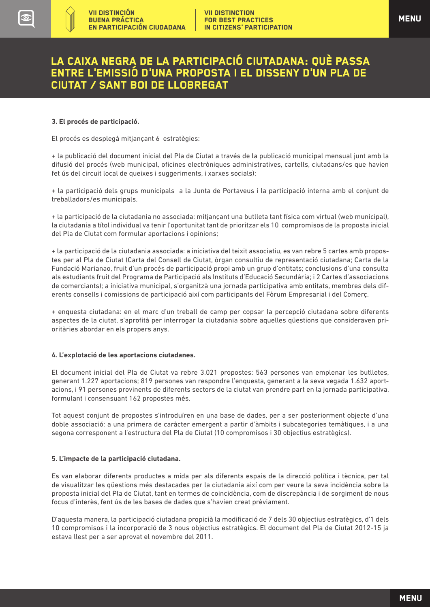#### **3. El procés de participació.**

El procés es desplegà mitjançant 6 estratègies:

+ la publicació del document inicial del Pla de Ciutat a través de la publicació municipal mensual junt amb la difusió del procés (web municipal, oficines electròniques administratives, cartells, ciutadans/es que havien fet ús del circuit local de queixes i suggeriments, i xarxes socials);

+ la participació dels grups municipals a la Junta de Portaveus i la participació interna amb el conjunt de treballadors/es municipals.

+ la participació de la ciutadania no associada: mitjançant una butlleta tant física com virtual (web municipal), la ciutadania a títol individual va tenir l'oportunitat tant de prioritzar els 10 compromisos de la proposta inicial del Pla de Ciutat com formular aportacions i opinions;

+ la participació de la ciutadania associada: a iniciativa del teixit associatiu, es van rebre 5 cartes amb propostes per al Pla de Ciutat (Carta del Consell de Ciutat, òrgan consultiu de representació ciutadana; Carta de la Fundació Marianao, fruit d'un procés de participació propi amb un grup d'entitats; conclusions d'una consulta als estudiants fruit del Programa de Participació als Instituts d'Educació Secundària; i 2 Cartes d'associacions de comerciants); a iniciativa municipal, s'organitzà una jornada participativa amb entitats, membres dels diferents consells i comissions de participació així com participants del Fòrum Empresarial i del Comerç.

+ enquesta ciutadana: en el marc d'un treball de camp per copsar la percepció ciutadana sobre diferents aspectes de la ciutat, s'aprofità per interrogar la ciutadania sobre aquelles qüestions que consideraven prioritàries abordar en els propers anys.

#### **4. L'explotació de les aportacions ciutadanes.**

El document inicial del Pla de Ciutat va rebre 3.021 propostes: 563 persones van emplenar les butlletes, generant 1.227 aportacions; 819 persones van respondre l'enquesta, generant a la seva vegada 1.632 aportacions, i 91 persones provinents de diferents sectors de la ciutat van prendre part en la jornada participativa, formulant i consensuant 162 propostes més.

Tot aquest conjunt de propostes s'introduïren en una base de dades, per a ser posteriorment objecte d'una doble associació: a una primera de caràcter emergent a partir d'àmbits i subcategories temàtiques, i a una segona corresponent a l'estructura del Pla de Ciutat (10 compromisos i 30 objectius estratègics).

#### **5. L'impacte de la participació ciutadana.**

Es van elaborar diferents productes a mida per als diferents espais de la direcció política i tècnica, per tal de visualitzar les qüestions més destacades per la ciutadania així com per veure la seva incidència sobre la proposta inicial del Pla de Ciutat, tant en termes de coincidència, com de discrepància i de sorgiment de nous focus d'interès, fent ús de les bases de dades que s'havien creat prèviament.

D'aquesta manera, la participació ciutadana propicià la modificació de 7 dels 30 objectius estratègics, d'1 dels 10 compromisos i la incorporació de 3 nous objectius estratègics. El document del Pla de Ciutat 2012-15 ja estava llest per a ser aprovat el novembre del 2011.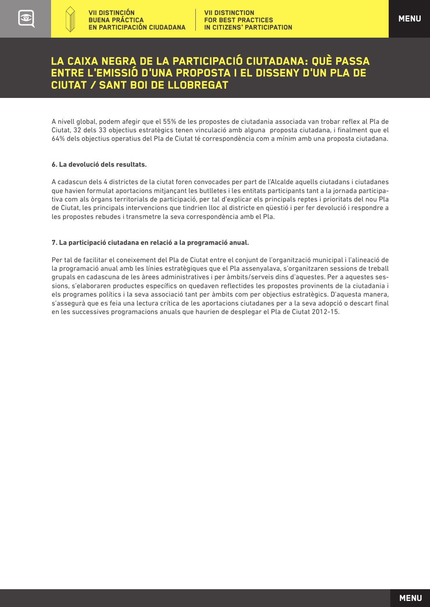A nivell global, podem afegir que el 55% de les propostes de ciutadania associada van trobar reflex al Pla de Ciutat, 32 dels 33 objectius estratègics tenen vinculació amb alguna proposta ciutadana, i finalment que el 64% dels objectius operatius del Pla de Ciutat té correspondència com a mínim amb una proposta ciutadana.

#### **6. La devolució dels resultats.**

**CED** 

A cadascun dels 4 districtes de la ciutat foren convocades per part de l'Alcalde aquells ciutadans i ciutadanes que havien formulat aportacions mitjançant les butlletes i les entitats participants tant a la jornada participativa com als òrgans territorials de participació, per tal d'explicar els principals reptes i prioritats del nou Pla de Ciutat, les principals intervencions que tindrien lloc al districte en qüestió i per fer devolució i respondre a les propostes rebudes i transmetre la seva correspondència amb el Pla.

#### **7. La participació ciutadana en relació a la programació anual.**

Per tal de facilitar el coneixement del Pla de Ciutat entre el conjunt de l'organització municipal i l'alineació de la programació anual amb les línies estratègiques que el Pla assenyalava, s'organitzaren sessions de treball grupals en cadascuna de les àrees administratives i per àmbits/serveis dins d'aquestes. Per a aquestes sessions, s'elaboraren productes específics on quedaven reflectides les propostes provinents de la ciutadania i els programes polítics i la seva associació tant per àmbits com per objectius estratègics. D'aquesta manera, s'assegurà que es feia una lectura crítica de les aportacions ciutadanes per a la seva adopció o descart final en les successives programacions anuals que haurien de desplegar el Pla de Ciutat 2012-15.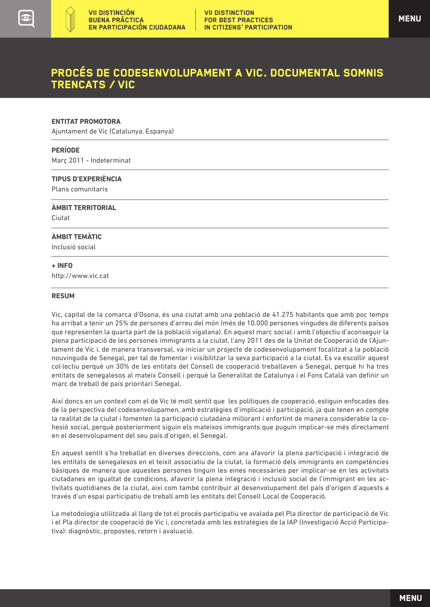### <span id="page-42-0"></span>PROCÉS DE CODESENVOLUPAMENT A VIC. DOCUMENTAL SOMNIS TRENCATS / VIC

#### **ENTITAT PROMOTORA**

Ajuntament de Vic (Catalunya, Espanya)

#### **PERÍODE**

Març 2011 - Indeterminat

#### **TIPUS D'EXPERIÈNCIA**

Plans comunitaris

**ÀMBIT TERRITORIAL** 

Ciutat

 $\overline{a}$ 

#### **ÀMBIT TEMÀTIC**

Inclusió social

#### **+ INFO**

http://www.vic.cat

#### **RESUM**

Vic, capital de la comarca d'Osona, és una ciutat amb una població de 41.275 habitants que amb poc temps ha arribat a tenir un 25% de persones d'arreu del món (més de 10.000 persones vingudes de diferents països que representen la quarta part de la població vigatana). En aquest marc social i amb l'objectiu d'aconseguir la plena participació de les persones immigrants a la ciutat, l'any 2011 des de la Unitat de Cooperació de l'Ajuntament de Vic i, de manera transversal, va iniciar un projecte de codesenvolupament focalitzat a la població nouvinguda de Senegal, per tal de fomentar i visibilitzar la seva participació a la ciutat. Es va escollir aquest col·lectiu perquè un 30% de les entitats del Consell de cooperació treballaven a Senegal, perquè hi ha tres entitats de senegalesos al mateix Consell i perquè la Generalitat de Catalunya i el Fons Català van definir un marc de treball de país prioritari Senegal.

Així doncs en un context com el de Vic té molt sentit que les polítiques de cooperació, estiguin enfocades des de la perspectiva del codesenvolupamen, amb estratègies d'implicació i participació, ja que tenen en compte la realitat de la ciutat i fomenten la participació ciutadana millorant i enfortint de manera considerable la cohesió social, perquè posteriorment siguin els mateixos immigrants que puguin implicar-se més directament en el desenvolupament del seu país d'origen, el Senegal.

En aquest sentit s'ha treballat en diverses direccions, com ara afavorir la plena participació i integració de les entitats de senegalesos en el teixit associatiu de la ciutat, la formació dels immigrants en competències bàsiques de manera que aquestes persones tinguin les eines necessàries per implicar-se en les activitats ciutadanes en igualtat de condicions, afavorir la plena integració i inclusió social de l'immigrant en les activitats quotidianes de la ciutat, així com també contribuir al desenvolupament del país d'origen d'aquests a través d'un espai participatiu de treball amb les entitats del Consell Local de Cooperació.

La metodologia utilitzada al llarg de tot el procés participatiu ve avalada pel Pla director de participació de Vic i el Pla director de cooperació de Vic i, concretada amb les estratègies de la IAP (Investigació Acció Participativa): diagnòstic, propostes, retorn i avaluació.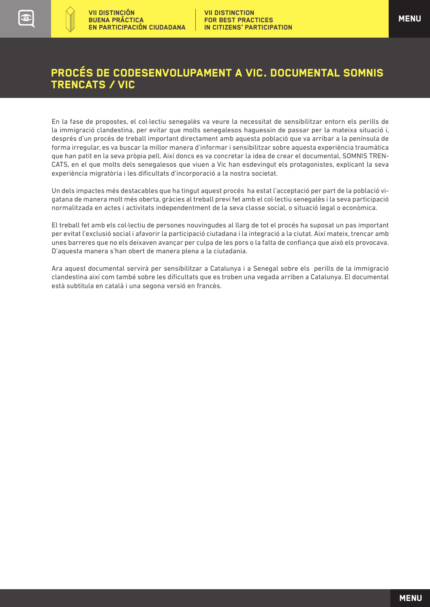En la fase de propostes, el col·lectiu senegalès va veure la necessitat de sensibilitzar entorn els perills de la immigració clandestina, per evitar que molts senegalesos haguessin de passar per la mateixa situació i, després d'un procés de treball important directament amb aquesta població que va arribar a la península de forma irregular, es va buscar la millor manera d'informar i sensibilitzar sobre aquesta experiència traumàtica que han patit en la seva pròpia pell. Així doncs es va concretar la idea de crear el documental, SOMNIS TREN-CATS, en el que molts dels senegalesos que viuen a Vic han esdevingut els protagonistes, explicant la seva experiència migratòria i les dificultats d'incorporació a la nostra societat.

Un dels impactes més destacables que ha tingut aquest procés ha estat l'acceptació per part de la població vigatana de manera molt més oberta, gràcies al treball previ fet amb el col·lectiu senegalès i la seva participació normalitzada en actes i activitats independentment de la seva classe social, o situació legal o econòmica.

El treball fet amb els col·lectiu de persones nouvingudes al llarg de tot el procés ha suposat un pas important per evitat l'exclusió social i afavorir la participació ciutadana i la integració a la ciutat. Així mateix, trencar amb unes barreres que no els deixaven avançar per culpa de les pors o la falta de confiança que això els provocava. D'aquesta manera s'han obert de manera plena a la ciutadania.

Ara aquest documental servirà per sensibilitzar a Catalunya i a Senegal sobre els perills de la immigració clandestina així com també sobre les dificultats que es troben una vegada arriben a Catalunya. El documental està subtitula en català i una segona versió en francès.

**[MENU](#page-2-0)**